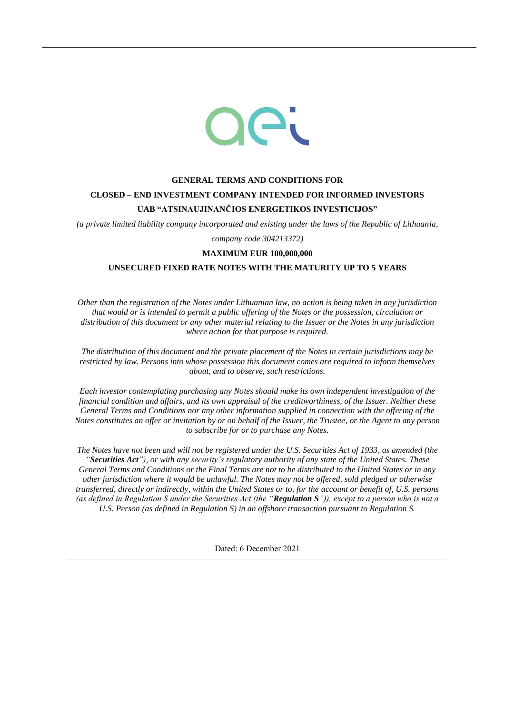

# **GENERAL TERMS AND CONDITIONS FOR CLOSED – END INVESTMENT COMPANY INTENDED FOR INFORMED INVESTORS UAB "ATSINAUJINANČIOS ENERGETIKOS INVESTICIJOS"**

*(a private limited liability company incorporated and existing under the laws of the Republic of Lithuania, company code 304213372)*

# **MAXIMUM EUR 100,000,000**

## **UNSECURED FIXED RATE NOTES WITH THE MATURITY UP TO 5 YEARS**

*Other than the registration of the Notes under Lithuanian law, no action is being taken in any jurisdiction that would or is intended to permit a public offering of the Notes or the possession, circulation or distribution of this document or any other material relating to the Issuer or the Notes in any jurisdiction where action for that purpose is required.*

*The distribution of this document and the private placement of the Notes in certain jurisdictions may be restricted by law. Persons into whose possession this document comes are required to inform themselves about, and to observe, such restrictions.*

*Each investor contemplating purchasing any Notes should make its own independent investigation of the financial condition and affairs, and its own appraisal of the creditworthiness, of the Issuer. Neither these General Terms and Conditions nor any other information supplied in connection with the offering of the Notes constitutes an offer or invitation by or on behalf of the Issuer, the Trustee, or the Agent to any person to subscribe for or to purchase any Notes.*

*The Notes have not been and will not be registered under the U.S. Securities Act of 1933, as amended (the "Securities Act"), or with any security's regulatory authority of any state of the United States. These General Terms and Conditions or the Final Terms are not to be distributed to the United States or in any other jurisdiction where it would be unlawful. The Notes may not be offered, sold pledged or otherwise transferred, directly or indirectly, within the United States or to, for the account or benefit of, U.S. persons (as defined in Regulation S under the Securities Act (the "Regulation S")), except to a person who is not a U.S. Person (as defined in Regulation S) in an offshore transaction pursuant to Regulation S.*

Dated: 6 December 2021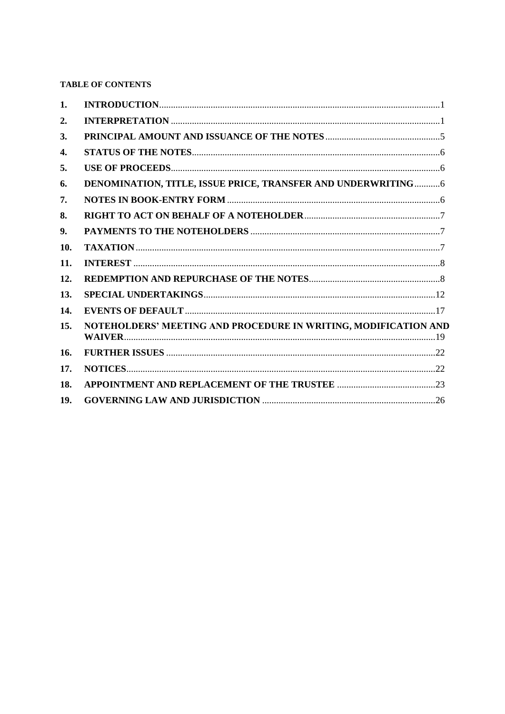# **TABLE OF CONTENTS**

| 1.  |                                                                 |  |
|-----|-----------------------------------------------------------------|--|
| 2.  |                                                                 |  |
| 3.  |                                                                 |  |
| 4.  |                                                                 |  |
| 5.  |                                                                 |  |
| 6.  | DENOMINATION, TITLE, ISSUE PRICE, TRANSFER AND UNDERWRITING 6   |  |
| 7.  |                                                                 |  |
| 8.  |                                                                 |  |
| 9.  |                                                                 |  |
| 10. |                                                                 |  |
| 11. |                                                                 |  |
| 12. |                                                                 |  |
| 13. |                                                                 |  |
| 14. |                                                                 |  |
| 15. | NOTEHOLDERS' MEETING AND PROCEDURE IN WRITING, MODIFICATION AND |  |
| 16. |                                                                 |  |
| 17. |                                                                 |  |
| 18. |                                                                 |  |
| 19. |                                                                 |  |
|     |                                                                 |  |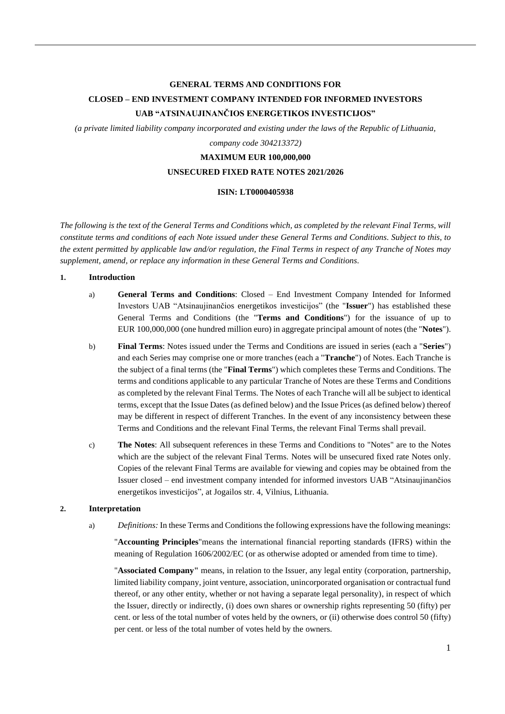# **GENERAL TERMS AND CONDITIONS FOR CLOSED – END INVESTMENT COMPANY INTENDED FOR INFORMED INVESTORS UAB "ATSINAUJINANČIOS ENERGETIKOS INVESTICIJOS"**

*(a private limited liability company incorporated and existing under the laws of the Republic of Lithuania, company code 304213372)*

### **MAXIMUM EUR 100,000,000**

#### **UNSECURED FIXED RATE NOTES 2021/2026**

## **ISIN: LT0000405938**

*The following is the text of the General Terms and Conditions which, as completed by the relevant Final Terms, will constitute terms and conditions of each Note issued under these General Terms and Conditions. Subject to this, to the extent permitted by applicable law and/or regulation, the Final Terms in respect of any Tranche of Notes may supplement, amend, or replace any information in these General Terms and Conditions.*

#### **1. Introduction**

- a) **General Terms and Conditions**: Closed End Investment Company Intended for Informed Investors UAB "Atsinaujinančios energetikos investicijos" (the "**Issuer**") has established these General Terms and Conditions (the "**Terms and Conditions**") for the issuance of up to EUR 100,000,000 (one hundred million euro) in aggregate principal amount of notes (the "**Notes**").
- b) **Final Terms**: Notes issued under the Terms and Conditions are issued in series (each a "**Series**") and each Series may comprise one or more tranches (each a "**Tranche**") of Notes. Each Tranche is the subject of a final terms (the "**Final Terms**") which completes these Terms and Conditions. The terms and conditions applicable to any particular Tranche of Notes are these Terms and Conditions as completed by the relevant Final Terms. The Notes of each Tranche will all be subject to identical terms, except that the Issue Dates (as defined below) and the Issue Prices (as defined below) thereof may be different in respect of different Tranches. In the event of any inconsistency between these Terms and Conditions and the relevant Final Terms, the relevant Final Terms shall prevail.
- c) **The Notes**: All subsequent references in these Terms and Conditions to "Notes" are to the Notes which are the subject of the relevant Final Terms. Notes will be unsecured fixed rate Notes only. Copies of the relevant Final Terms are available for viewing and copies may be obtained from the Issuer closed – end investment company intended for informed investors UAB "Atsinaujinančios energetikos investicijos", at Jogailos str. 4, Vilnius, Lithuania.

#### <span id="page-2-0"></span>**2. Interpretation**

a) *Definitions:* In these Terms and Conditions the following expressions have the following meanings:

"**Accounting Principles**"means the international financial reporting standards (IFRS) within the meaning of Regulation 1606/2002/EC (or as otherwise adopted or amended from time to time).

"**Associated Company"** means, in relation to the Issuer, any legal entity (corporation, partnership, limited liability company, joint venture, association, unincorporated organisation or contractual fund thereof, or any other entity, whether or not having a separate legal personality), in respect of which the Issuer, directly or indirectly, (i) does own shares or ownership rights representing 50 (fifty) per cent. or less of the total number of votes held by the owners, or (ii) otherwise does control 50 (fifty) per cent. or less of the total number of votes held by the owners.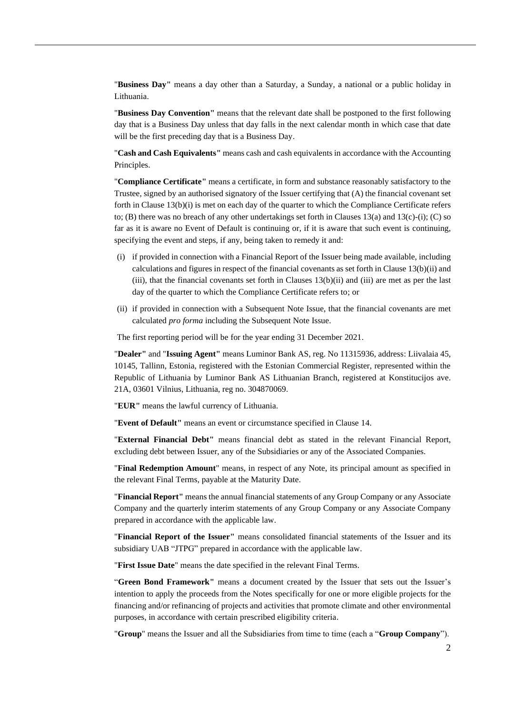"**Business Day"** means a day other than a Saturday, a Sunday, a national or a public holiday in Lithuania.

"**Business Day Convention"** means that the relevant date shall be postponed to the first following day that is a Business Day unless that day falls in the next calendar month in which case that date will be the first preceding day that is a Business Day.

"**Cash and Cash Equivalents"** means cash and cash equivalents in accordance with the Accounting Principles.

"**Compliance Certificate"** means a certificate, in form and substance reasonably satisfactory to the Trustee, signed by an authorised signatory of the Issuer certifying that (A) the financial covenant set forth in Clause [13](#page-13-0)[\(b\)](#page-13-1)[\(i\)](#page-13-2) is met on each day of the quarter to which the Compliance Certificate refers to; (B) there was no breach of any other undertakings set forth in Clauses [13](#page-13-0)[\(a\)](#page-13-3) and [13](#page-13-0)[\(c\)-](#page-14-0)[\(i\);](#page-17-0) (C) so far as it is aware no Event of Default is continuing or, if it is aware that such event is continuing, specifying the event and steps, if any, being taken to remedy it and:

- (i) if provided in connection with a Financial Report of the Issuer being made available, including calculations and figures in respect of the financial covenants as set forth in Clause 13[\(b\)](#page-13-1)[\(ii\)](#page-13-4) and  $(iii)$ , that the financial covenants set forth in Clauses 13[\(b\)](#page-13-1) $(ii)$  and  $(iii)$  are met as per the last day of the quarter to which the Compliance Certificate refers to; or
- (ii) if provided in connection with a Subsequent Note Issue, that the financial covenants are met calculated *pro forma* including the Subsequent Note Issue.

The first reporting period will be for the year ending 31 December 2021.

"**Dealer"** and "**Issuing Agent"** means Luminor Bank AS, reg. No 11315936, address: Liivalaia 45, 10145, Tallinn, Estonia, registered with the Estonian Commercial Register, represented within the Republic of Lithuania by Luminor Bank AS Lithuanian Branch, registered at Konstitucijos ave. 21A, 03601 Vilnius, Lithuania, reg no. 304870069.

"**EUR"** means the lawful currency of Lithuania.

"**Event of Default"** means an event or circumstance specified in Clause [14.](#page-18-0)

"**External Financial Debt"** means financial debt as stated in the relevant Financial Report, excluding debt between Issuer, any of the Subsidiaries or any of the Associated Companies.

"**Final Redemption Amount**" means, in respect of any Note, its principal amount as specified in the relevant Final Terms, payable at the Maturity Date.

"**Financial Report"** means the annual financial statements of any Group Company or any Associate Company and the quarterly interim statements of any Group Company or any Associate Company prepared in accordance with the applicable law.

"**Financial Report of the Issuer"** means consolidated financial statements of the Issuer and its subsidiary UAB "JTPG" prepared in accordance with the applicable law.

"**First Issue Date**" means the date specified in the relevant Final Terms.

"**Green Bond Framework"** means a document created by the Issuer that sets out the Issuer's intention to apply the proceeds from the Notes specifically for one or more eligible projects for the financing and/or refinancing of projects and activities that promote climate and other environmental purposes, in accordance with certain prescribed eligibility criteria.

"**Group**" means the Issuer and all the Subsidiaries from time to time (each a "**Group Company**").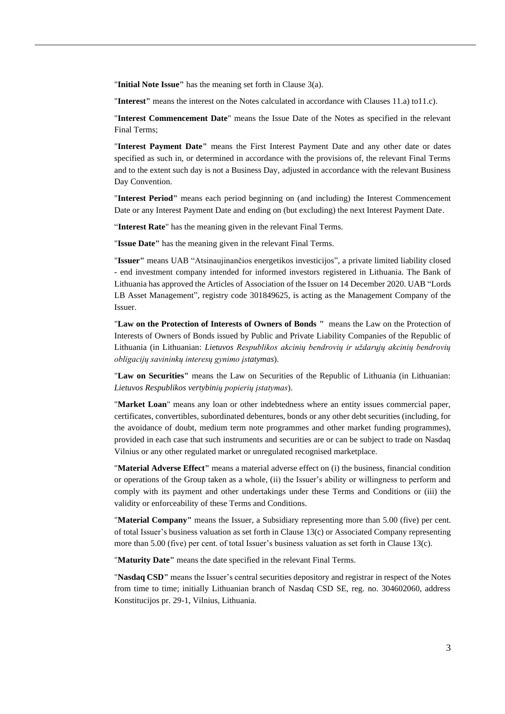"**Initial Note Issue"** has the meaning set forth in Clause 3[\(a\).](#page-6-0)

"**Interest"** means the interest on the Notes calculated in accordance with Clauses [11.a\)](#page-9-0) t[o11.c\).](#page-9-1)

"**Interest Commencement Date**" means the Issue Date of the Notes as specified in the relevant Final Terms;

"**Interest Payment Date"** means the First Interest Payment Date and any other date or dates specified as such in, or determined in accordance with the provisions of, the relevant Final Terms and to the extent such day is not a Business Day, adjusted in accordance with the relevant Business Day Convention.

"**Interest Period"** means each period beginning on (and including) the Interest Commencement Date or any Interest Payment Date and ending on (but excluding) the next Interest Payment Date.

"**Interest Rate**" has the meaning given in the relevant Final Terms.

"**Issue Date"** has the meaning given in the relevant Final Terms.

"**Issuer"** means UAB "Atsinaujinančios energetikos investicijos", a private limited liability closed - end investment company intended for informed investors registered in Lithuania. The Bank of Lithuania has approved the Articles of Association of the Issuer on 14 December 2020. UAB "Lords LB Asset Management", registry code 301849625, is acting as the Management Company of the Issuer.

"**Law on the Protection of Interests of Owners of Bonds "** means the Law on the Protection of Interests of Owners of Bonds issued by Public and Private Liability Companies of the Republic of Lithuania (in Lithuanian: *Lietuvos Respublikos akcinių bendrovių ir uždarųjų akcinių bendrovių obligacijų savininkų interesų gynimo įstatymas*).

"**Law on Securities"** means the Law on Securities of the Republic of Lithuania (in Lithuanian: *Lietuvos Respublikos vertybinių popierių įstatymas*).

"**Market Loan**" means any loan or other indebtedness where an entity issues commercial paper, certificates, convertibles, subordinated debentures, bonds or any other debt securities (including, for the avoidance of doubt, medium term note programmes and other market funding programmes), provided in each case that such instruments and securities are or can be subject to trade on Nasdaq Vilnius or any other regulated market or unregulated recognised marketplace.

"**Material Adverse Effect"** means a material adverse effect on (i) the business, financial condition or operations of the Group taken as a whole, (ii) the Issuer's ability or willingness to perform and comply with its payment and other undertakings under these Terms and Conditions or (iii) the validity or enforceability of these Terms and Conditions.

"**Material Company"** means the Issuer, a Subsidiary representing more than 5.00 (five) per cent. of total Issuer's business valuation as set forth in Clause [13\(](#page-13-0)[c\)](#page-14-0) or Associated Company representing more than 5.00 (five) per cent. of total Issuer's business valuation as set forth in Clause [13](#page-13-0)[\(c\).](#page-14-0)

"**Maturity Date"** means the date specified in the relevant Final Terms.

"**Nasdaq CSD"** means the Issuer's central securities depository and registrar in respect of the Notes from time to time; initially Lithuanian branch of Nasdaq CSD SE, reg. no. 304602060, address Konstitucijos pr. 29-1, Vilnius, Lithuania.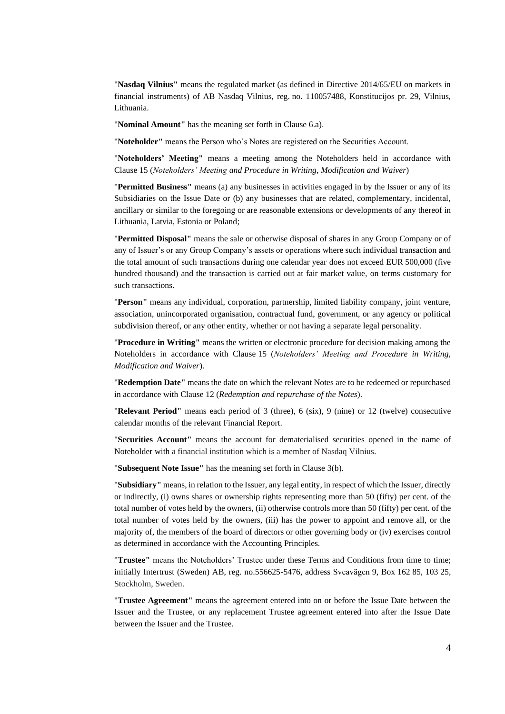"**Nasdaq Vilnius"** means the regulated market (as defined in Directive 2014/65/EU on markets in financial instruments) of AB Nasdaq Vilnius, reg. no. 110057488, Konstitucijos pr. 29, Vilnius, Lithuania.

"**Nominal Amount"** has the meaning set forth in Clause [6.a\).](#page-7-0)

"**Noteholder"** means the Person who´s Notes are registered on the Securities Account.

"**Noteholders' Meeting"** means a meeting among the Noteholders held in accordance with Clause [15](#page-20-0) (*Noteholders' Meeting and Procedure in Writing, Modification and Waiver*)

"**Permitted Business"** means (a) any businesses in activities engaged in by the Issuer or any of its Subsidiaries on the Issue Date or (b) any businesses that are related, complementary, incidental, ancillary or similar to the foregoing or are reasonable extensions or developments of any thereof in Lithuania, Latvia, Estonia or Poland;

"**Permitted Disposal"** means the sale or otherwise disposal of shares in any Group Company or of any of Issuer's or any Group Company's assets or operations where such individual transaction and the total amount of such transactions during one calendar year does not exceed EUR 500,000 (five hundred thousand) and the transaction is carried out at fair market value, on terms customary for such transactions.

"**Person"** means any individual, corporation, partnership, limited liability company, joint venture, association, unincorporated organisation, contractual fund, government, or any agency or political subdivision thereof, or any other entity, whether or not having a separate legal personality.

"**Procedure in Writing"** means the written or electronic procedure for decision making among the Noteholders in accordance with Clause [15](#page-20-0) (*Noteholders' Meeting and Procedure in Writing, Modification and Waiver*).

"**Redemption Date"** means the date on which the relevant Notes are to be redeemed or repurchased in accordance with Clause [12](#page-9-2) (*Redemption and repurchase of the Notes*).

"**Relevant Period"** means each period of 3 (three), 6 (six), 9 (nine) or 12 (twelve) consecutive calendar months of the relevant Financial Report.

"**Securities Account"** means the account for dematerialised securities opened in the name of Noteholder with a financial institution which is a member of Nasdaq Vilnius.

"**Subsequent Note Issue"** has the meaning set forth in Clause 3[\(b\).](#page-6-1)

"**Subsidiary"** means, in relation to the Issuer, any legal entity, in respect of which the Issuer, directly or indirectly, (i) owns shares or ownership rights representing more than 50 (fifty) per cent. of the total number of votes held by the owners, (ii) otherwise controls more than 50 (fifty) per cent. of the total number of votes held by the owners, (iii) has the power to appoint and remove all, or the majority of, the members of the board of directors or other governing body or (iv) exercises control as determined in accordance with the Accounting Principles.

"**Trustee"** means the Noteholders' Trustee under these Terms and Conditions from time to time; initially Intertrust (Sweden) AB, reg. no.556625-5476, address Sveavägen 9, Box 162 85, 103 25, Stockholm, Sweden.

"**Trustee Agreement"** means the agreement entered into on or before the Issue Date between the Issuer and the Trustee, or any replacement Trustee agreement entered into after the Issue Date between the Issuer and the Trustee.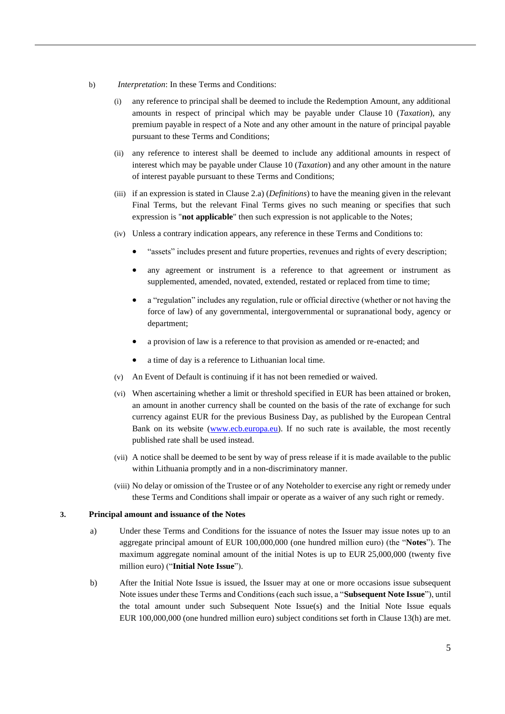- b) *Interpretation*: In these Terms and Conditions:
	- (i) any reference to principal shall be deemed to include the Redemption Amount, any additional amounts in respect of principal which may be payable under Clause [10](#page-8-0) (*Taxation*), any premium payable in respect of a Note and any other amount in the nature of principal payable pursuant to these Terms and Conditions;
	- (ii) any reference to interest shall be deemed to include any additional amounts in respect of interest which may be payable under Clause [10](#page-8-0) (*Taxation*) and any other amount in the nature of interest payable pursuant to these Terms and Conditions;
	- (iii) if an expression is stated in Clause [2.a\)](#page-2-0) (*Definitions*) to have the meaning given in the relevant Final Terms, but the relevant Final Terms gives no such meaning or specifies that such expression is "**not applicable**" then such expression is not applicable to the Notes;
	- (iv) Unless a contrary indication appears, any reference in these Terms and Conditions to:
		- "assets" includes present and future properties, revenues and rights of every description;
		- any agreement or instrument is a reference to that agreement or instrument as supplemented, amended, novated, extended, restated or replaced from time to time;
		- a "regulation" includes any regulation, rule or official directive (whether or not having the force of law) of any governmental, intergovernmental or supranational body, agency or department;
		- a provision of law is a reference to that provision as amended or re-enacted; and
		- a time of day is a reference to Lithuanian local time.
	- (v) An Event of Default is continuing if it has not been remedied or waived.
	- (vi) When ascertaining whether a limit or threshold specified in EUR has been attained or broken, an amount in another currency shall be counted on the basis of the rate of exchange for such currency against EUR for the previous Business Day, as published by the European Central Bank on its website [\(www.ecb.europa.eu\)](http://www.ecb.europa.eu/). If no such rate is available, the most recently published rate shall be used instead.
	- (vii) A notice shall be deemed to be sent by way of press release if it is made available to the public within Lithuania promptly and in a non-discriminatory manner.
	- (viii) No delay or omission of the Trustee or of any Noteholder to exercise any right or remedy under these Terms and Conditions shall impair or operate as a waiver of any such right or remedy.

### <span id="page-6-0"></span>**3. Principal amount and issuance of the Notes**

- a) Under these Terms and Conditions for the issuance of notes the Issuer may issue notes up to an aggregate principal amount of EUR 100,000,000 (one hundred million euro) (the "**Notes**"). The maximum aggregate nominal amount of the initial Notes is up to EUR 25,000,000 (twenty five million euro) ("**Initial Note Issue**").
- <span id="page-6-1"></span>b) After the Initial Note Issue is issued, the Issuer may at one or more occasions issue subsequent Note issues under these Terms and Conditions (each such issue, a "**Subsequent Note Issue**"), until the total amount under such Subsequent Note Issue(s) and the Initial Note Issue equals EUR 100,000,000 (one hundred million euro) subject conditions set forth in Clause [13\(](#page-13-0)[h\)](#page-16-0) are met.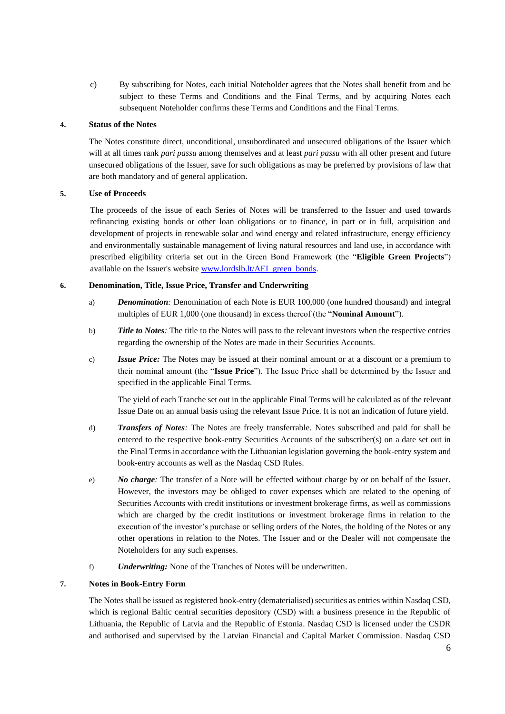c) By subscribing for Notes, each initial Noteholder agrees that the Notes shall benefit from and be subject to these Terms and Conditions and the Final Terms, and by acquiring Notes each subsequent Noteholder confirms these Terms and Conditions and the Final Terms.

# <span id="page-7-1"></span>**4. Status of the Notes**

The Notes constitute direct, unconditional, unsubordinated and unsecured obligations of the Issuer which will at all times rank *pari passu* among themselves and at least *pari passu* with all other present and future unsecured obligations of the Issuer, save for such obligations as may be preferred by provisions of law that are both mandatory and of general application.

# **5. Use of Proceeds**

The proceeds of the issue of each Series of Notes will be transferred to the Issuer and used towards refinancing existing bonds or other loan obligations or to finance, in part or in full, acquisition and development of projects in renewable solar and wind energy and related infrastructure, energy efficiency and environmentally sustainable management of living natural resources and land use, in accordance with prescribed eligibility criteria set out in the Green Bond Framework (the "**Eligible Green Projects**") available on the Issuer's website [www.lordslb.lt/AEI\\_green\\_bonds.](http://www.lordslb.lt/AEI_green_bonds)

# <span id="page-7-0"></span>**6. Denomination, Title, Issue Price, Transfer and Underwriting**

- a) *Denomination:* Denomination of each Note is EUR 100,000 (one hundred thousand) and integral multiples of EUR 1,000 (one thousand) in excess thereof (the "**Nominal Amount**").
- b) *Title to Notes:* The title to the Notes will pass to the relevant investors when the respective entries regarding the ownership of the Notes are made in their Securities Accounts.
- c) *Issue Price:* The Notes may be issued at their nominal amount or at a discount or a premium to their nominal amount (the "**Issue Price**"). The Issue Price shall be determined by the Issuer and specified in the applicable Final Terms.

The yield of each Tranche set out in the applicable Final Terms will be calculated as of the relevant Issue Date on an annual basis using the relevant Issue Price. It is not an indication of future yield.

- d) *Transfers of Notes:* The Notes are freely transferrable. Notes subscribed and paid for shall be entered to the respective book-entry Securities Accounts of the subscriber(s) on a date set out in the Final Terms in accordance with the Lithuanian legislation governing the book-entry system and book-entry accounts as well as the Nasdaq CSD Rules.
- e) *No charge:* The transfer of a Note will be effected without charge by or on behalf of the Issuer. However, the investors may be obliged to cover expenses which are related to the opening of Securities Accounts with credit institutions or investment brokerage firms, as well as commissions which are charged by the credit institutions or investment brokerage firms in relation to the execution of the investor's purchase or selling orders of the Notes, the holding of the Notes or any other operations in relation to the Notes. The Issuer and or the Dealer will not compensate the Noteholders for any such expenses.
- f) *Underwriting:* None of the Tranches of Notes will be underwritten.

### **7. Notes in Book-Entry Form**

The Notes shall be issued as registered book-entry (dematerialised) securities as entries within Nasdaq CSD, which is regional Baltic central securities depository (CSD) with a business presence in the Republic of Lithuania, the Republic of Latvia and the Republic of Estonia. Nasdaq CSD is licensed under the CSDR and authorised and supervised by the Latvian Financial and Capital Market Commission. Nasdaq CSD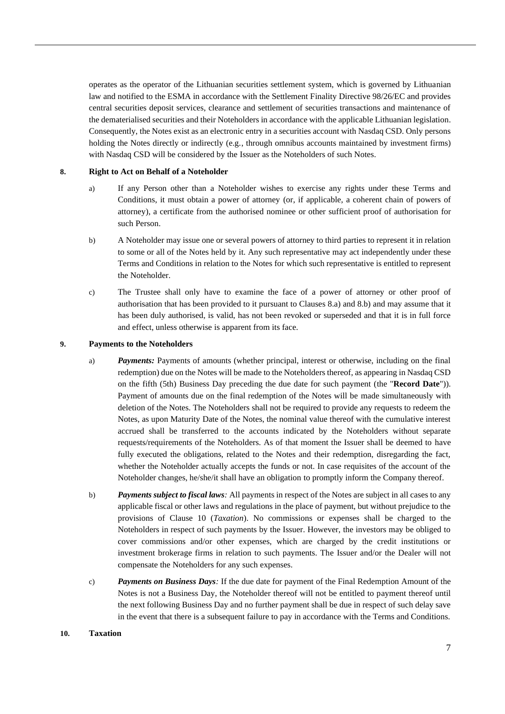operates as the operator of the Lithuanian securities settlement system, which is governed by Lithuanian law and notified to the ESMA in accordance with the Settlement Finality Directive 98/26/EC and provides central securities deposit services, clearance and settlement of securities transactions and maintenance of the dematerialised securities and their Noteholders in accordance with the applicable Lithuanian legislation. Consequently, the Notes exist as an electronic entry in a securities account with Nasdaq CSD. Only persons holding the Notes directly or indirectly (e.g., through omnibus accounts maintained by investment firms) with Nasdaq CSD will be considered by the Issuer as the Noteholders of such Notes.

### <span id="page-8-1"></span>**8. Right to Act on Behalf of a Noteholder**

- a) If any Person other than a Noteholder wishes to exercise any rights under these Terms and Conditions, it must obtain a power of attorney (or, if applicable, a coherent chain of powers of attorney), a certificate from the authorised nominee or other sufficient proof of authorisation for such Person.
- <span id="page-8-2"></span>b) A Noteholder may issue one or several powers of attorney to third parties to represent it in relation to some or all of the Notes held by it. Any such representative may act independently under these Terms and Conditions in relation to the Notes for which such representative is entitled to represent the Noteholder.
- c) The Trustee shall only have to examine the face of a power of attorney or other proof of authorisation that has been provided to it pursuant to Clauses [8.a\)](#page-8-1) and [8.b\)](#page-8-2) and may assume that it has been duly authorised, is valid, has not been revoked or superseded and that it is in full force and effect, unless otherwise is apparent from its face.

#### <span id="page-8-3"></span>**9. Payments to the Noteholders**

- a) *Payments:* Payments of amounts (whether principal, interest or otherwise, including on the final redemption) due on the Notes will be made to the Noteholders thereof, as appearing in Nasdaq CSD on the fifth (5th) Business Day preceding the due date for such payment (the "**Record Date**")). Payment of amounts due on the final redemption of the Notes will be made simultaneously with deletion of the Notes. The Noteholders shall not be required to provide any requests to redeem the Notes, as upon Maturity Date of the Notes, the nominal value thereof with the cumulative interest accrued shall be transferred to the accounts indicated by the Noteholders without separate requests/requirements of the Noteholders. As of that moment the Issuer shall be deemed to have fully executed the obligations, related to the Notes and their redemption, disregarding the fact, whether the Noteholder actually accepts the funds or not. In case requisites of the account of the Noteholder changes, he/she/it shall have an obligation to promptly inform the Company thereof.
- b) *Payments subject to fiscal laws:* All payments in respect of the Notes are subject in all cases to any applicable fiscal or other laws and regulations in the place of payment, but without prejudice to the provisions of Clause [10](#page-8-0) (*Taxation*). No commissions or expenses shall be charged to the Noteholders in respect of such payments by the Issuer. However, the investors may be obliged to cover commissions and/or other expenses, which are charged by the credit institutions or investment brokerage firms in relation to such payments. The Issuer and/or the Dealer will not compensate the Noteholders for any such expenses.
- c) *Payments on Business Days:* If the due date for payment of the Final Redemption Amount of the Notes is not a Business Day, the Noteholder thereof will not be entitled to payment thereof until the next following Business Day and no further payment shall be due in respect of such delay save in the event that there is a subsequent failure to pay in accordance with the Terms and Conditions.

#### <span id="page-8-0"></span>**10. Taxation**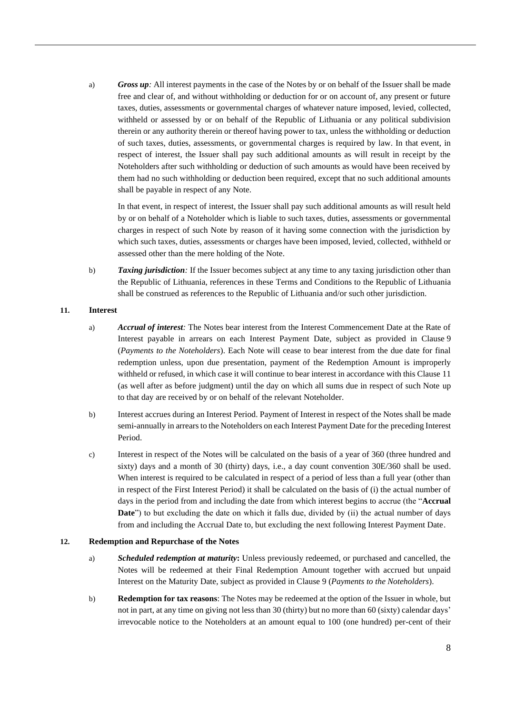a) *Gross up:* All interest payments in the case of the Notes by or on behalf of the Issuer shall be made free and clear of, and without withholding or deduction for or on account of, any present or future taxes, duties, assessments or governmental charges of whatever nature imposed, levied, collected, withheld or assessed by or on behalf of the Republic of Lithuania or any political subdivision therein or any authority therein or thereof having power to tax, unless the withholding or deduction of such taxes, duties, assessments, or governmental charges is required by law. In that event, in respect of interest, the Issuer shall pay such additional amounts as will result in receipt by the Noteholders after such withholding or deduction of such amounts as would have been received by them had no such withholding or deduction been required, except that no such additional amounts shall be payable in respect of any Note.

In that event, in respect of interest, the Issuer shall pay such additional amounts as will result held by or on behalf of a Noteholder which is liable to such taxes, duties, assessments or governmental charges in respect of such Note by reason of it having some connection with the jurisdiction by which such taxes, duties, assessments or charges have been imposed, levied, collected, withheld or assessed other than the mere holding of the Note.

b) *Taxing jurisdiction:* If the Issuer becomes subject at any time to any taxing jurisdiction other than the Republic of Lithuania, references in these Terms and Conditions to the Republic of Lithuania shall be construed as references to the Republic of Lithuania and/or such other jurisdiction.

# <span id="page-9-3"></span><span id="page-9-0"></span>**11. Interest**

- a) *Accrual of interest:* The Notes bear interest from the Interest Commencement Date at the Rate of Interest payable in arrears on each Interest Payment Date, subject as provided in Clause [9](#page-8-3) (*Payments to the Noteholders*). Each Note will cease to bear interest from the due date for final redemption unless, upon due presentation, payment of the Redemption Amount is improperly withheld or refused, in which case it will continue to bear interest in accordance with this Clause [11](#page-9-3) (as well after as before judgment) until the day on which all sums due in respect of such Note up to that day are received by or on behalf of the relevant Noteholder.
- b) Interest accrues during an Interest Period. Payment of Interest in respect of the Notes shall be made semi-annually in arrears to the Noteholders on each Interest Payment Date for the preceding Interest Period.
- <span id="page-9-1"></span>c) Interest in respect of the Notes will be calculated on the basis of a year of 360 (three hundred and sixty) days and a month of 30 (thirty) days, i.e., a day count convention 30E/360 shall be used. When interest is required to be calculated in respect of a period of less than a full year (other than in respect of the First Interest Period) it shall be calculated on the basis of (i) the actual number of days in the period from and including the date from which interest begins to accrue (the "**Accrual Date**") to but excluding the date on which it falls due, divided by (ii) the actual number of days from and including the Accrual Date to, but excluding the next following Interest Payment Date.

### <span id="page-9-2"></span>**12. Redemption and Repurchase of the Notes**

- a) *Scheduled redemption at maturity***:** Unless previously redeemed, or purchased and cancelled, the Notes will be redeemed at their Final Redemption Amount together with accrued but unpaid Interest on the Maturity Date, subject as provided in Clause [9](#page-8-3) (*Payments to the Noteholders*).
- <span id="page-9-4"></span>b) **Redemption for tax reasons**: The Notes may be redeemed at the option of the Issuer in whole, but not in part, at any time on giving not less than 30 (thirty) but no more than 60 (sixty) calendar days' irrevocable notice to the Noteholders at an amount equal to 100 (one hundred) per-cent of their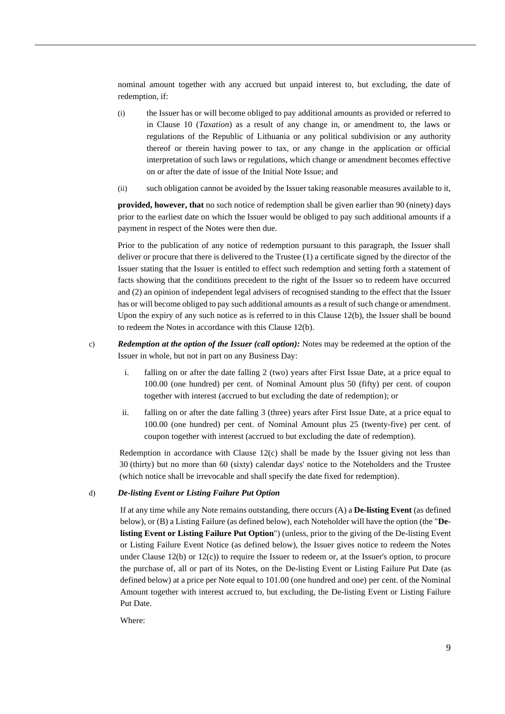nominal amount together with any accrued but unpaid interest to, but excluding, the date of redemption, if:

- (i) the Issuer has or will become obliged to pay additional amounts as provided or referred to in Clause [10](#page-8-0) (*Taxation*) as a result of any change in, or amendment to, the laws or regulations of the Republic of Lithuania or any political subdivision or any authority thereof or therein having power to tax, or any change in the application or official interpretation of such laws or regulations, which change or amendment becomes effective on or after the date of issue of the Initial Note Issue; and
- (ii) such obligation cannot be avoided by the Issuer taking reasonable measures available to it,

**provided, however, that** no such notice of redemption shall be given earlier than 90 (ninety) days prior to the earliest date on which the Issuer would be obliged to pay such additional amounts if a payment in respect of the Notes were then due.

Prior to the publication of any notice of redemption pursuant to this paragraph, the Issuer shall deliver or procure that there is delivered to the Trustee (1) a certificate signed by the director of the Issuer stating that the Issuer is entitled to effect such redemption and setting forth a statement of facts showing that the conditions precedent to the right of the Issuer so to redeem have occurred and (2) an opinion of independent legal advisers of recognised standing to the effect that the Issuer has or will become obliged to pay such additional amounts as a result of such change or amendment. Upon the expiry of any such notice as is referred to in this Clause [12](#page-9-2)[\(b\),](#page-9-4) the Issuer shall be bound to redeem the Notes in accordance with this Clause [12](#page-9-2)[\(b\).](#page-9-4)

c) *Redemption at the option of the Issuer (call option):* Notes may be redeemed at the option of the Issuer in whole, but not in part on any Business Day:

- <span id="page-10-0"></span>i. falling on or after the date falling 2 (two) years after First Issue Date, at a price equal to 100.00 (one hundred) per cent. of Nominal Amount plus 50 (fifty) per cent. of coupon together with interest (accrued to but excluding the date of redemption); or
- ii. falling on or after the date falling 3 (three) years after First Issue Date, at a price equal to 100.00 (one hundred) per cent. of Nominal Amount plus 25 (twenty-five) per cent. of coupon together with interest (accrued to but excluding the date of redemption).

Redemption in accordance with Clause  $12(c)$  $12(c)$  shall be made by the Issuer giving not less than 30 (thirty) but no more than 60 (sixty) calendar days' notice to the Noteholders and the Trustee (which notice shall be irrevocable and shall specify the date fixed for redemption).

#### <span id="page-10-1"></span>d) *De-listing Event or Listing Failure Put Option*

If at any time while any Note remains outstanding, there occurs (A) a **De-listing Event** (as defined below), or (B) a Listing Failure (as defined below), each Noteholder will have the option (the "**Delisting Event or Listing Failure Put Option**") (unless, prior to the giving of the De-listing Event or Listing Failure Event Notice (as defined below), the Issuer gives notice to redeem the Notes under Clause  $12(b)$  $12(b)$  or  $12(c)$ ) to require the Issuer to redeem or, at the Issuer's option, to procure the purchase of, all or part of its Notes, on the De-listing Event or Listing Failure Put Date (as defined below) at a price per Note equal to 101.00 (one hundred and one) per cent. of the Nominal Amount together with interest accrued to, but excluding, the De-listing Event or Listing Failure Put Date.

Where: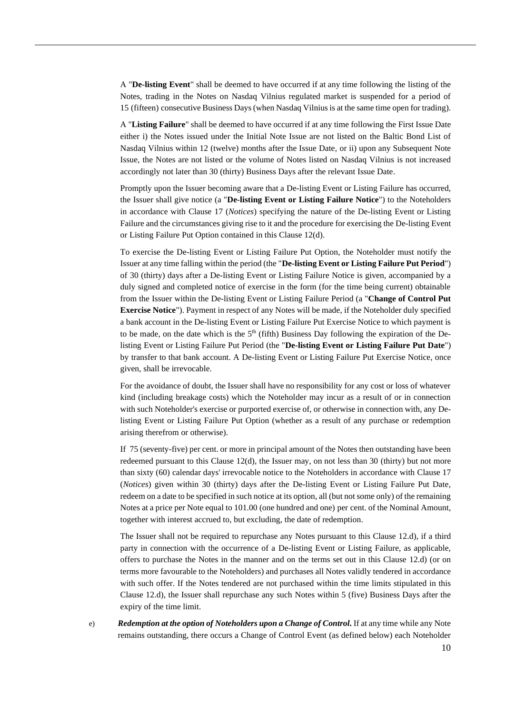A "**De-listing Event**" shall be deemed to have occurred if at any time following the listing of the Notes, trading in the Notes on Nasdaq Vilnius regulated market is suspended for a period of 15 (fifteen) consecutive Business Days (when Nasdaq Vilnius is at the same time open for trading).

A "**Listing Failure**" shall be deemed to have occurred if at any time following the First Issue Date either i) the Notes issued under the Initial Note Issue are not listed on the Baltic Bond List of Nasdaq Vilnius within 12 (twelve) months after the Issue Date, or ii) upon any Subsequent Note Issue, the Notes are not listed or the volume of Notes listed on Nasdaq Vilnius is not increased accordingly not later than 30 (thirty) Business Days after the relevant Issue Date.

Promptly upon the Issuer becoming aware that a De-listing Event or Listing Failure has occurred, the Issuer shall give notice (a "**De-listing Event or Listing Failure Notice**") to the Noteholders in accordance with Clause [17](#page-23-0) (*Notices*) specifying the nature of the De-listing Event or Listing Failure and the circumstances giving rise to it and the procedure for exercising the De-listing Event or Listing Failure Put Option contained in this Clause [12\(](#page-9-2)[d\).](#page-10-1)

To exercise the De-listing Event or Listing Failure Put Option, the Noteholder must notify the Issuer at any time falling within the period (the "**De-listing Event or Listing Failure Put Period**") of 30 (thirty) days after a De-listing Event or Listing Failure Notice is given, accompanied by a duly signed and completed notice of exercise in the form (for the time being current) obtainable from the Issuer within the De-listing Event or Listing Failure Period (a "**Change of Control Put Exercise Notice**"). Payment in respect of any Notes will be made, if the Noteholder duly specified a bank account in the De-listing Event or Listing Failure Put Exercise Notice to which payment is to be made, on the date which is the  $5<sup>th</sup>$  (fifth) Business Day following the expiration of the Delisting Event or Listing Failure Put Period (the "**De-listing Event or Listing Failure Put Date**") by transfer to that bank account. A De-listing Event or Listing Failure Put Exercise Notice, once given, shall be irrevocable.

For the avoidance of doubt, the Issuer shall have no responsibility for any cost or loss of whatever kind (including breakage costs) which the Noteholder may incur as a result of or in connection with such Noteholder's exercise or purported exercise of, or otherwise in connection with, any Delisting Event or Listing Failure Put Option (whether as a result of any purchase or redemption arising therefrom or otherwise).

If 75 (seventy-five) per cent. or more in principal amount of the Notes then outstanding have been redeemed pursuant to this Clause [12\(](#page-9-2)[d\),](#page-10-1) the Issuer may, on not less than 30 (thirty) but not more than sixty (60) calendar days' irrevocable notice to the Noteholders in accordance with Clause [17](#page-23-0) (*Notices*) given within 30 (thirty) days after the De-listing Event or Listing Failure Put Date, redeem on a date to be specified in such notice at its option, all (but not some only) of the remaining Notes at a price per Note equal to 101.00 (one hundred and one) per cent. of the Nominal Amount, together with interest accrued to, but excluding, the date of redemption.

The Issuer shall not be required to repurchase any Notes pursuant to this Clause [12.d\),](#page-10-1) if a third party in connection with the occurrence of a De-listing Event or Listing Failure, as applicable, offers to purchase the Notes in the manner and on the terms set out in this Clause [12.d\)](#page-10-1) (or on terms more favourable to the Noteholders) and purchases all Notes validly tendered in accordance with such offer. If the Notes tendered are not purchased within the time limits stipulated in this Clause [12.d\),](#page-10-1) the Issuer shall repurchase any such Notes within 5 (five) Business Days after the expiry of the time limit.

<span id="page-11-0"></span>e) *Redemption at the option of Noteholders upon a Change of Control***.** If at any time while any Note remains outstanding, there occurs a Change of Control Event (as defined below) each Noteholder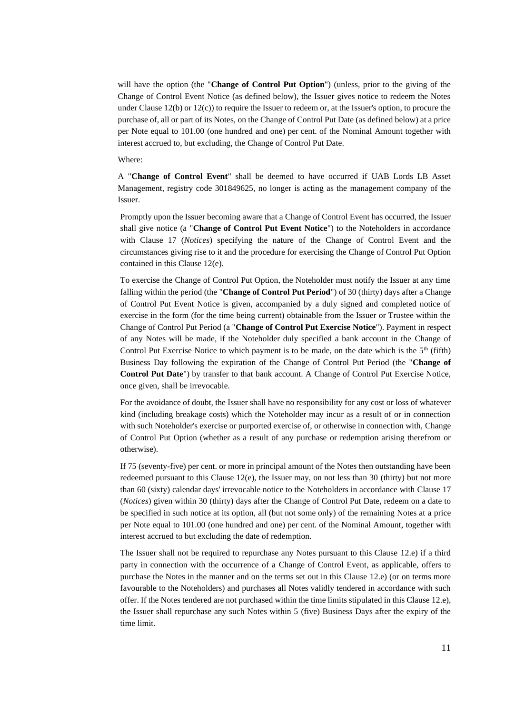will have the option (the "**Change of Control Put Option**") (unless, prior to the giving of the Change of Control Event Notice (as defined below), the Issuer gives notice to redeem the Notes under Clause [12\(](#page-9-2)[b\)](#page-9-4) or [12](#page-9-2)[\(c\)\)](#page-10-0) to require the Issuer to redeem or, at the Issuer's option, to procure the purchase of, all or part of its Notes, on the Change of Control Put Date (as defined below) at a price per Note equal to 101.00 (one hundred and one) per cent. of the Nominal Amount together with interest accrued to, but excluding, the Change of Control Put Date.

#### Where:

A "**Change of Control Event**" shall be deemed to have occurred if UAB Lords LB Asset Management, registry code 301849625, no longer is acting as the management company of the Issuer.

Promptly upon the Issuer becoming aware that a Change of Control Event has occurred, the Issuer shall give notice (a "**Change of Control Put Event Notice**") to the Noteholders in accordance with Clause [17](#page-23-0) (*Notices*) specifying the nature of the Change of Control Event and the circumstances giving rise to it and the procedure for exercising the Change of Control Put Option contained in this Clause [12](#page-9-2)[\(e\).](#page-11-0)

To exercise the Change of Control Put Option, the Noteholder must notify the Issuer at any time falling within the period (the "**Change of Control Put Period**") of 30 (thirty) days after a Change of Control Put Event Notice is given, accompanied by a duly signed and completed notice of exercise in the form (for the time being current) obtainable from the Issuer or Trustee within the Change of Control Put Period (a "**Change of Control Put Exercise Notice**"). Payment in respect of any Notes will be made, if the Noteholder duly specified a bank account in the Change of Control Put Exercise Notice to which payment is to be made, on the date which is the  $5<sup>th</sup>$  (fifth) Business Day following the expiration of the Change of Control Put Period (the "**Change of Control Put Date**") by transfer to that bank account. A Change of Control Put Exercise Notice, once given, shall be irrevocable.

For the avoidance of doubt, the Issuer shall have no responsibility for any cost or loss of whatever kind (including breakage costs) which the Noteholder may incur as a result of or in connection with such Noteholder's exercise or purported exercise of, or otherwise in connection with, Change of Control Put Option (whether as a result of any purchase or redemption arising therefrom or otherwise).

If 75 (seventy-five) per cent. or more in principal amount of the Notes then outstanding have been redeemed pursuant to this Clause [12](#page-9-2)[\(e\),](#page-11-0) the Issuer may, on not less than 30 (thirty) but not more than 60 (sixty) calendar days' irrevocable notice to the Noteholders in accordance with Clause [17](#page-23-0) (*Notices*) given within 30 (thirty) days after the Change of Control Put Date, redeem on a date to be specified in such notice at its option, all (but not some only) of the remaining Notes at a price per Note equal to 101.00 (one hundred and one) per cent. of the Nominal Amount, together with interest accrued to but excluding the date of redemption.

The Issuer shall not be required to repurchase any Notes pursuant to this Clause [12.e\)](#page-11-0) if a third party in connection with the occurrence of a Change of Control Event, as applicable, offers to purchase the Notes in the manner and on the terms set out in this Clause [12.e\)](#page-11-0) (or on terms more favourable to the Noteholders) and purchases all Notes validly tendered in accordance with such offer. If the Notes tendered are not purchased within the time limits stipulated in this Clause [12.e\),](#page-11-0) the Issuer shall repurchase any such Notes within 5 (five) Business Days after the expiry of the time limit.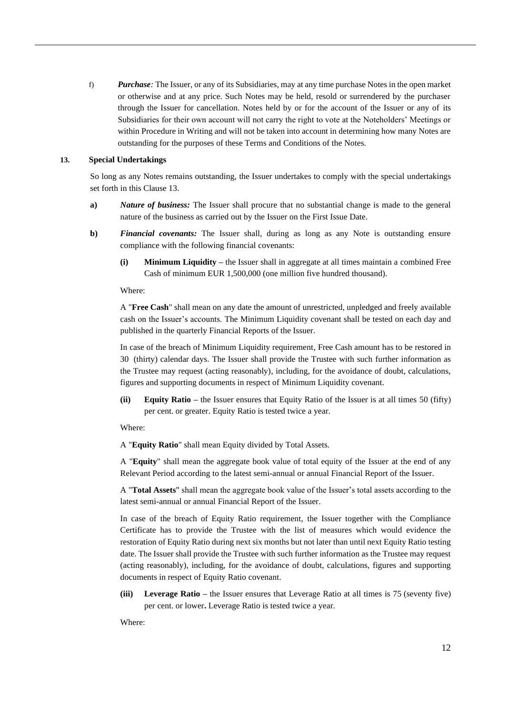f) *Purchase:* The Issuer, or any of its Subsidiaries, may at any time purchase Notes in the open market or otherwise and at any price. Such Notes may be held, resold or surrendered by the purchaser through the Issuer for cancellation. Notes held by or for the account of the Issuer or any of its Subsidiaries for their own account will not carry the right to vote at the Noteholders' Meetings or within Procedure in Writing and will not be taken into account in determining how many Notes are outstanding for the purposes of these Terms and Conditions of the Notes.

### <span id="page-13-0"></span>**13. Special Undertakings**

So long as any Notes remains outstanding, the Issuer undertakes to comply with the special undertakings set forth in this Clause [13.](#page-13-0)

- <span id="page-13-3"></span>**a)** *Nature of business:* The Issuer shall procure that no substantial change is made to the general nature of the business as carried out by the Issuer on the First Issue Date.
- <span id="page-13-2"></span><span id="page-13-1"></span>**b)** *Financial covenants:* The Issuer shall, during as long as any Note is outstanding ensure compliance with the following financial covenants:
	- **(i) Minimum Liquidity –** the Issuer shall in aggregate at all times maintain a combined Free Cash of minimum EUR 1,500,000 (one million five hundred thousand).

Where:

A "**Free Cash**" shall mean on any date the amount of unrestricted, unpledged and freely available cash on the Issuer's accounts. The Minimum Liquidity covenant shall be tested on each day and published in the quarterly Financial Reports of the Issuer.

In case of the breach of Minimum Liquidity requirement, Free Cash amount has to be restored in 30 (thirty) calendar days. The Issuer shall provide the Trustee with such further information as the Trustee may request (acting reasonably), including, for the avoidance of doubt, calculations, figures and supporting documents in respect of Minimum Liquidity covenant.

<span id="page-13-4"></span>**(ii) Equity Ratio –** the Issuer ensures that Equity Ratio of the Issuer is at all times 50 (fifty) per cent. or greater. Equity Ratio is tested twice a year.

Where:

A "**Equity Ratio**" shall mean Equity divided by Total Assets.

A "**Equity**" shall mean the aggregate book value of total equity of the Issuer at the end of any Relevant Period according to the latest semi-annual or annual Financial Report of the Issuer.

A "**Total Assets**" shall mean the aggregate book value of the Issuer's total assets according to the latest semi-annual or annual Financial Report of the Issuer.

In case of the breach of Equity Ratio requirement, the Issuer together with the Compliance Certificate has to provide the Trustee with the list of measures which would evidence the restoration of Equity Ratio during next six months but not later than until next Equity Ratio testing date. The Issuer shall provide the Trustee with such further information as the Trustee may request (acting reasonably), including, for the avoidance of doubt, calculations, figures and supporting documents in respect of Equity Ratio covenant.

<span id="page-13-5"></span>**(iii) Leverage Ratio –** the Issuer ensures that Leverage Ratio at all times is 75 (seventy five) per cent. or lower**.** Leverage Ratio is tested twice a year.

Where: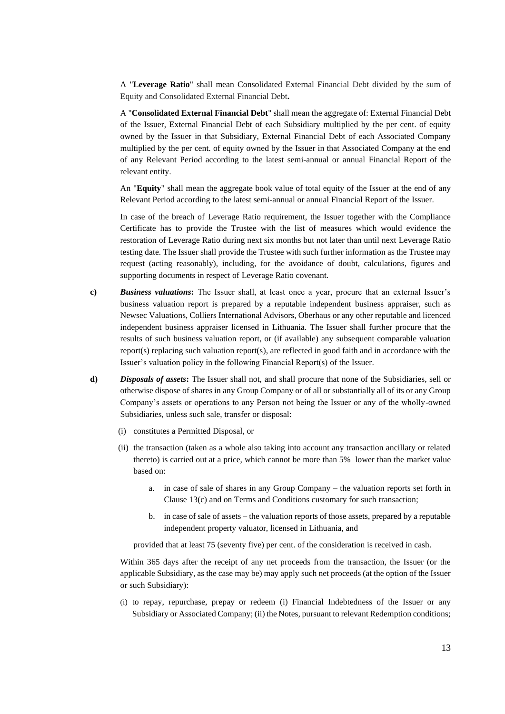A "**Leverage Ratio**" shall mean Consolidated External Financial Debt divided by the sum of Equity and Consolidated External Financial Debt**.**

A "**Consolidated External Financial Debt**" shall mean the aggregate of: External Financial Debt of the Issuer, External Financial Debt of each Subsidiary multiplied by the per cent. of equity owned by the Issuer in that Subsidiary, External Financial Debt of each Associated Company multiplied by the per cent. of equity owned by the Issuer in that Associated Company at the end of any Relevant Period according to the latest semi-annual or annual Financial Report of the relevant entity.

An "**Equity**" shall mean the aggregate book value of total equity of the Issuer at the end of any Relevant Period according to the latest semi-annual or annual Financial Report of the Issuer.

In case of the breach of Leverage Ratio requirement, the Issuer together with the Compliance Certificate has to provide the Trustee with the list of measures which would evidence the restoration of Leverage Ratio during next six months but not later than until next Leverage Ratio testing date. The Issuer shall provide the Trustee with such further information as the Trustee may request (acting reasonably), including, for the avoidance of doubt, calculations, figures and supporting documents in respect of Leverage Ratio covenant.

- <span id="page-14-0"></span>**c)** *Business valuations***:** The Issuer shall, at least once a year, procure that an external Issuer's business valuation report is prepared by a reputable independent business appraiser, such as Newsec Valuations, Colliers International Advisors, Oberhaus or any other reputable and licenced independent business appraiser licensed in Lithuania. The Issuer shall further procure that the results of such business valuation report, or (if available) any subsequent comparable valuation report(s) replacing such valuation report(s), are reflected in good faith and in accordance with the Issuer's valuation policy in the following Financial Report(s) of the Issuer.
- **d)** *Disposals of assets***:** The Issuer shall not, and shall procure that none of the Subsidiaries, sell or otherwise dispose of shares in any Group Company or of all or substantially all of its or any Group Company's assets or operations to any Person not being the Issuer or any of the wholly-owned Subsidiaries, unless such sale, transfer or disposal:
	- (i) constitutes a Permitted Disposal, or
	- (ii) the transaction (taken as a whole also taking into account any transaction ancillary or related thereto) is carried out at a price, which cannot be more than 5% lower than the market value based on:
		- a. in case of sale of shares in any Group Company the valuation reports set forth in Clause [13](#page-13-0)[\(c\)](#page-14-0) and on Terms and Conditions customary for such transaction;
		- b. in case of sale of assets the valuation reports of those assets, prepared by a reputable independent property valuator, licensed in Lithuania, and

provided that at least 75 (seventy five) per cent. of the consideration is received in cash.

Within 365 days after the receipt of any net proceeds from the transaction, the Issuer (or the applicable Subsidiary, as the case may be) may apply such net proceeds (at the option of the Issuer or such Subsidiary):

(i) to repay, repurchase, prepay or redeem (i) Financial Indebtedness of the Issuer or any Subsidiary or Associated Company; (ii) the Notes, pursuant to relevant Redemption conditions;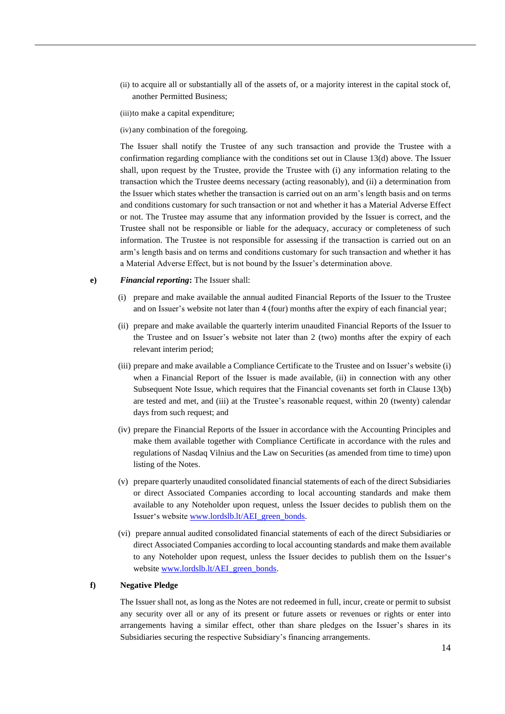- (ii) to acquire all or substantially all of the assets of, or a majority interest in the capital stock of, another Permitted Business;
- (iii)to make a capital expenditure;
- (iv)any combination of the foregoing.

The Issuer shall notify the Trustee of any such transaction and provide the Trustee with a confirmation regarding compliance with the conditions set out in Clause 13(d) above. The Issuer shall, upon request by the Trustee, provide the Trustee with (i) any information relating to the transaction which the Trustee deems necessary (acting reasonably), and (ii) a determination from the Issuer which states whether the transaction is carried out on an arm's length basis and on terms and conditions customary for such transaction or not and whether it has a Material Adverse Effect or not. The Trustee may assume that any information provided by the Issuer is correct, and the Trustee shall not be responsible or liable for the adequacy, accuracy or completeness of such information. The Trustee is not responsible for assessing if the transaction is carried out on an arm's length basis and on terms and conditions customary for such transaction and whether it has a Material Adverse Effect, but is not bound by the Issuer's determination above.

#### <span id="page-15-0"></span>**e)** *Financial reporting***:** The Issuer shall:

- (i) prepare and make available the annual audited Financial Reports of the Issuer to the Trustee and on Issuer's website not later than 4 (four) months after the expiry of each financial year;
- (ii) prepare and make available the quarterly interim unaudited Financial Reports of the Issuer to the Trustee and on Issuer's website not later than 2 (two) months after the expiry of each relevant interim period;
- (iii) prepare and make available a Compliance Certificate to the Trustee and on Issuer's website (i) when a Financial Report of the Issuer is made available, (ii) in connection with any other Subsequent Note Issue, which requires that the Financial covenants set forth in Clause [13](#page-13-0)[\(b\)](#page-13-1) are tested and met, and (iii) at the Trustee's reasonable request, within 20 (twenty) calendar days from such request; and
- (iv) prepare the Financial Reports of the Issuer in accordance with the Accounting Principles and make them available together with Compliance Certificate in accordance with the rules and regulations of Nasdaq Vilnius and the Law on Securities (as amended from time to time) upon listing of the Notes.
- (v) prepare quarterly unaudited consolidated financial statements of each of the direct Subsidiaries or direct Associated Companies according to local accounting standards and make them available to any Noteholder upon request, unless the Issuer decides to publish them on the Issuer's website [www.lordslb.lt/AEI\\_green\\_bonds.](http://www.lordslb.lt/AEI_green_bonds)
- (vi) prepare annual audited consolidated financial statements of each of the direct Subsidiaries or direct Associated Companies according to local accounting standards and make them available to any Noteholder upon request, unless the Issuer decides to publish them on the Issuer's website [www.lordslb.lt/AEI\\_green\\_bonds.](http://www.lordslb.lt/AEI_green_bonds)

## **f) Negative Pledge**

The Issuer shall not, as long as the Notes are not redeemed in full, incur, create or permit to subsist any security over all or any of its present or future assets or revenues or rights or enter into arrangements having a similar effect, other than share pledges on the Issuer's shares in its Subsidiaries securing the respective Subsidiary's financing arrangements.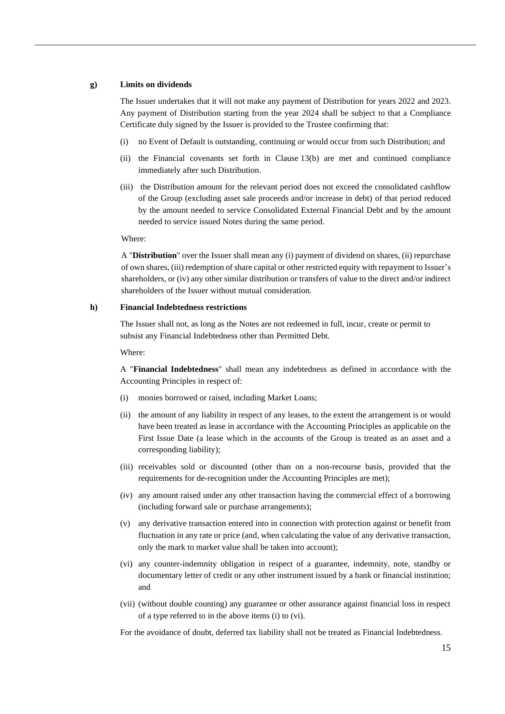#### **g) Limits on dividends**

The Issuer undertakes that it will not make any payment of Distribution for years 2022 and 2023. Any payment of Distribution starting from the year 2024 shall be subject to that a Compliance Certificate duly signed by the Issuer is provided to the Trustee confirming that:

- (i) no Event of Default is outstanding, continuing or would occur from such Distribution; and
- (ii) the Financial covenants set forth in Clause [13\(](#page-13-0)[b\)](#page-13-1) are met and continued compliance immediately after such Distribution.
- (iii) the Distribution amount for the relevant period does not exceed the consolidated cashflow of the Group (excluding asset sale proceeds and/or increase in debt) of that period reduced by the amount needed to service Consolidated External Financial Debt and by the amount needed to service issued Notes during the same period.

Where:

A "**Distribution**" over the Issuer shall mean any (i) payment of dividend on shares, (ii) repurchase of own shares, (iii) redemption of share capital or other restricted equity with repayment to Issuer's shareholders, or (iv) any other similar distribution or transfers of value to the direct and/or indirect shareholders of the Issuer without mutual consideration.

#### <span id="page-16-0"></span>**h) Financial Indebtedness restrictions**

The Issuer shall not, as long as the Notes are not redeemed in full, incur, create or permit to subsist any Financial Indebtedness other than Permitted Debt.

Where:

A "**Financial Indebtedness**" shall mean any indebtedness as defined in accordance with the Accounting Principles in respect of:

- <span id="page-16-1"></span>(i) monies borrowed or raised, including Market Loans;
- (ii) the amount of any liability in respect of any leases, to the extent the arrangement is or would have been treated as lease in accordance with the Accounting Principles as applicable on the First Issue Date (a lease which in the accounts of the Group is treated as an asset and a corresponding liability);
- (iii) receivables sold or discounted (other than on a non-recourse basis, provided that the requirements for de-recognition under the Accounting Principles are met);
- (iv) any amount raised under any other transaction having the commercial effect of a borrowing (including forward sale or purchase arrangements);
- (v) any derivative transaction entered into in connection with protection against or benefit from fluctuation in any rate or price (and, when calculating the value of any derivative transaction, only the mark to market value shall be taken into account);
- <span id="page-16-2"></span>(vi) any counter-indemnity obligation in respect of a guarantee, indemnity, note, standby or documentary letter of credit or any other instrument issued by a bank or financial institution; and
- (vii) (without double counting) any guarantee or other assurance against financial loss in respect of a type referred to in the above items [\(i\)](#page-16-1) to [\(vi\).](#page-16-2)

For the avoidance of doubt, deferred tax liability shall not be treated as Financial Indebtedness.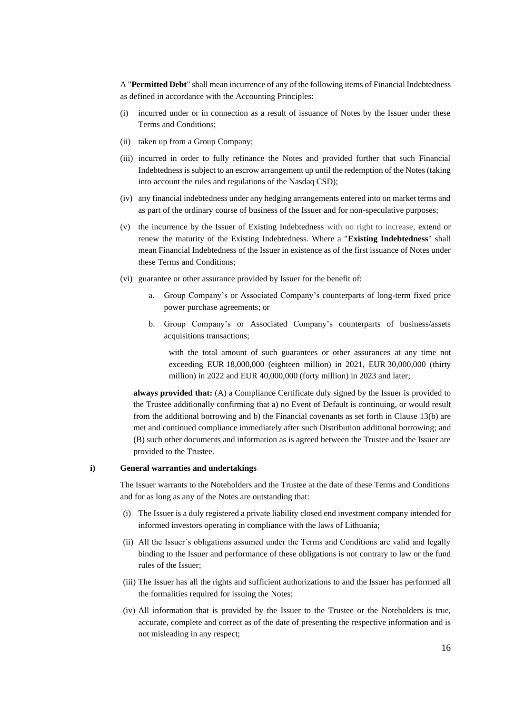A "**Permitted Debt**" shall mean incurrence of any of the following items of Financial Indebtedness as defined in accordance with the Accounting Principles:

- (i) incurred under or in connection as a result of issuance of Notes by the Issuer under these Terms and Conditions;
- (ii) taken up from a Group Company;
- (iii) incurred in order to fully refinance the Notes and provided further that such Financial Indebtedness is subject to an escrow arrangement up until the redemption of the Notes (taking into account the rules and regulations of the Nasdaq CSD);
- (iv) any financial indebtedness under any hedging arrangements entered into on market terms and as part of the ordinary course of business of the Issuer and for non-speculative purposes;
- (v) the incurrence by the Issuer of Existing Indebtedness with no right to increase, extend or renew the maturity of the Existing Indebtedness. Where a "**Existing Indebtedness**" shall mean Financial Indebtedness of the Issuer in existence as of the first issuance of Notes under these Terms and Conditions;
- (vi) guarantee or other assurance provided by Issuer for the benefit of:
	- a. Group Company's or Associated Company's counterparts of long-term fixed price power purchase agreements; or
	- b. Group Company's or Associated Company's counterparts of business/assets acquisitions transactions;

with the total amount of such guarantees or other assurances at any time not exceeding EUR 18,000,000 (eighteen million) in 2021, EUR 30,000,000 (thirty million) in 2022 and EUR 40,000,000 (forty million) in 2023 and later;

**always provided that:** (A) a Compliance Certificate duly signed by the Issuer is provided to the Trustee additionally confirming that a) no Event of Default is continuing, or would result from the additional borrowing and b) the Financial covenants as set forth in Clause [13](#page-13-0)[\(b\)](#page-13-1) are met and continued compliance immediately after such Distribution additional borrowing; and (B) such other documents and information as is agreed between the Trustee and the Issuer are provided to the Trustee.

### <span id="page-17-0"></span>**i) General warranties and undertakings**

The Issuer warrants to the Noteholders and the Trustee at the date of these Terms and Conditions and for as long as any of the Notes are outstanding that:

- (i) The Issuer is a duly registered a private liability closed end investment company intended for informed investors operating in compliance with the laws of Lithuania;
- (ii) All the Issuer´s obligations assumed under the Terms and Conditions are valid and legally binding to the Issuer and performance of these obligations is not contrary to law or the fund rules of the Issuer;
- (iii) The Issuer has all the rights and sufficient authorizations to and the Issuer has performed all the formalities required for issuing the Notes;
- (iv) All information that is provided by the Issuer to the Trustee or the Noteholders is true, accurate, complete and correct as of the date of presenting the respective information and is not misleading in any respect;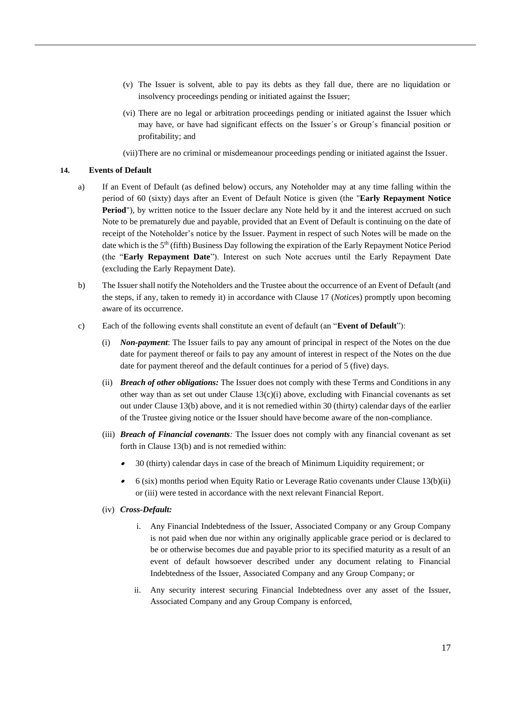- (v) The Issuer is solvent, able to pay its debts as they fall due, there are no liquidation or insolvency proceedings pending or initiated against the Issuer;
- (vi) There are no legal or arbitration proceedings pending or initiated against the Issuer which may have, or have had significant effects on the Issuer´s or Group´s financial position or profitability; and

(vii)There are no criminal or misdemeanour proceedings pending or initiated against the Issuer.

#### <span id="page-18-0"></span>**14. Events of Default**

- a) If an Event of Default (as defined below) occurs, any Noteholder may at any time falling within the period of 60 (sixty) days after an Event of Default Notice is given (the "**Early Repayment Notice**  Period"), by written notice to the Issuer declare any Note held by it and the interest accrued on such Note to be prematurely due and payable, provided that an Event of Default is continuing on the date of receipt of the Noteholder's notice by the Issuer. Payment in respect of such Notes will be made on the date which is the 5<sup>th</sup> (fifth) Business Day following the expiration of the Early Repayment Notice Period (the "**Early Repayment Date**"). Interest on such Note accrues until the Early Repayment Date (excluding the Early Repayment Date).
- b) The Issuer shall notify the Noteholders and the Trustee about the occurrence of an Event of Default (and the steps, if any, taken to remedy it) in accordance with Clause [17](#page-23-0) (*Notice*s) promptly upon becoming aware of its occurrence.
- <span id="page-18-3"></span><span id="page-18-2"></span><span id="page-18-1"></span>c) Each of the following events shall constitute an event of default (an "**Event of Default**"):
	- (i) *Non-payment*: The Issuer fails to pay any amount of principal in respect of the Notes on the due date for payment thereof or fails to pay any amount of interest in respect of the Notes on the due date for payment thereof and the default continues for a period of 5 (five) days.
	- (ii) *Breach of other obligations:* The Issuer does not comply with these Terms and Conditions in any other way than as set out under Clause  $13(c)(i)$  $13(c)(i)$  $13(c)(i)$  above, excluding with Financial covenants as set out under Claus[e 13\(](#page-13-0)[b\)](#page-13-1) above, and it is not remedied within 30 (thirty) calendar days of the earlier of the Trustee giving notice or the Issuer should have become aware of the non-compliance.
	- (iii) *Breach of Financial covenants:* The Issuer does not comply with any financial covenant as set forth in Clause [13](#page-13-0)[\(b\)](#page-13-1) and is not remedied within:
		- •30 (thirty) calendar days in case of the breach of Minimum Liquidity requirement; or
		- • 6 (six) months period when Equity Ratio or Leverage Ratio covenants under Clause 13(b)(ii) or (iii) were tested in accordance with the next relevant Financial Report.
	- (iv) *Cross-Default:* 
		- i. Any Financial Indebtedness of the Issuer, Associated Company or any Group Company is not paid when due nor within any originally applicable grace period or is declared to be or otherwise becomes due and payable prior to its specified maturity as a result of an event of default howsoever described under any document relating to Financial Indebtedness of the Issuer, Associated Company and any Group Company; or
		- ii. Any security interest securing Financial Indebtedness over any asset of the Issuer, Associated Company and any Group Company is enforced,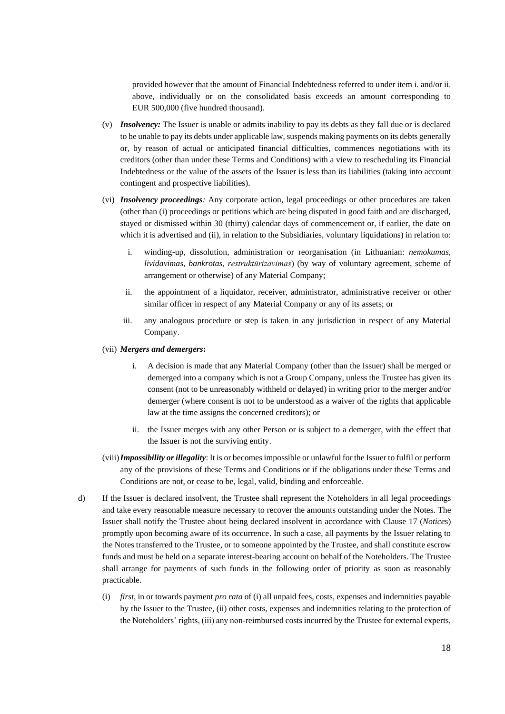provided however that the amount of Financial Indebtedness referred to under ite[m i.](#page-18-2) and/o[r ii.](#page-18-3) above, individually or on the consolidated basis exceeds an amount corresponding to EUR 500,000 (five hundred thousand).

- (v) *Insolvency:* The Issuer is unable or admits inability to pay its debts as they fall due or is declared to be unable to pay its debts under applicable law, suspends making payments on its debts generally or, by reason of actual or anticipated financial difficulties, commences negotiations with its creditors (other than under these Terms and Conditions) with a view to rescheduling its Financial Indebtedness or the value of the assets of the Issuer is less than its liabilities (taking into account contingent and prospective liabilities).
- (vi) *Insolvency proceedings:* Any corporate action, legal proceedings or other procedures are taken (other than (i) proceedings or petitions which are being disputed in good faith and are discharged, stayed or dismissed within 30 (thirty) calendar days of commencement or, if earlier, the date on which it is advertised and (ii), in relation to the Subsidiaries, voluntary liquidations) in relation to:
	- i. winding-up, dissolution, administration or reorganisation (in Lithuanian: *nemokumas, lividavimas, bankrotas, restruktūrizavimas*) (by way of voluntary agreement, scheme of arrangement or otherwise) of any Material Company;
	- ii. the appointment of a liquidator, receiver, administrator, administrative receiver or other similar officer in respect of any Material Company or any of its assets; or
	- iii. any analogous procedure or step is taken in any jurisdiction in respect of any Material Company.
- (vii) *Mergers and demergers***:**
	- i. A decision is made that any Material Company (other than the Issuer) shall be merged or demerged into a company which is not a Group Company, unless the Trustee has given its consent (not to be unreasonably withheld or delayed) in writing prior to the merger and/or demerger (where consent is not to be understood as a waiver of the rights that applicable law at the time assigns the concerned creditors); or
	- ii. the Issuer merges with any other Person or is subject to a demerger, with the effect that the Issuer is not the surviving entity.
- (viii)*Impossibility or illegality*: It is or becomes impossible or unlawful for the Issuer to fulfil or perform any of the provisions of these Terms and Conditions or if the obligations under these Terms and Conditions are not, or cease to be, legal, valid, binding and enforceable.
- <span id="page-19-0"></span>d) If the Issuer is declared insolvent, the Trustee shall represent the Noteholders in all legal proceedings and take every reasonable measure necessary to recover the amounts outstanding under the Notes. The Issuer shall notify the Trustee about being declared insolvent in accordance with Clause [17](#page-23-0) (*Notice*s) promptly upon becoming aware of its occurrence. In such a case, all payments by the Issuer relating to the Notes transferred to the Trustee, or to someone appointed by the Trustee, and shall constitute escrow funds and must be held on a separate interest-bearing account on behalf of the Noteholders. The Trustee shall arrange for payments of such funds in the following order of priority as soon as reasonably practicable.
	- (i) *first*, in or towards payment *pro rata* of (i) all unpaid fees, costs, expenses and indemnities payable by the Issuer to the Trustee, (ii) other costs, expenses and indemnities relating to the protection of the Noteholders' rights, (iii) any non-reimbursed costs incurred by the Trustee for external experts,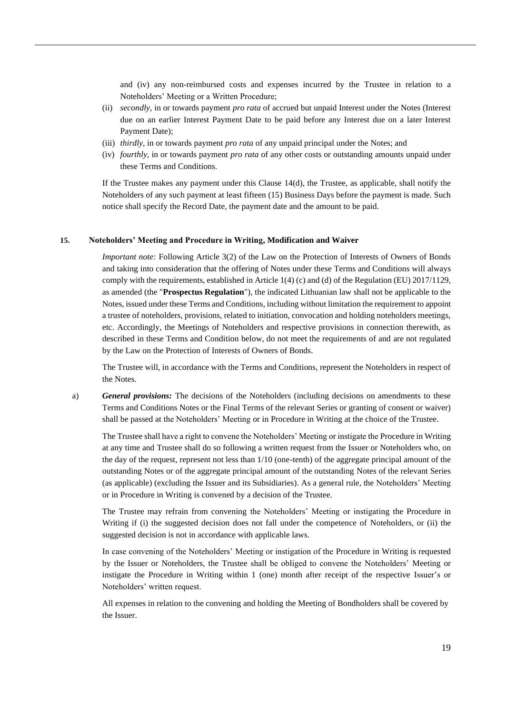and (iv) any non-reimbursed costs and expenses incurred by the Trustee in relation to a Noteholders' Meeting or a Written Procedure;

- (ii) *secondly*, in or towards payment *pro rata* of accrued but unpaid Interest under the Notes (Interest due on an earlier Interest Payment Date to be paid before any Interest due on a later Interest Payment Date);
- (iii) *thirdly*, in or towards payment *pro rata* of any unpaid principal under the Notes; and
- (iv) *fourthly*, in or towards payment *pro rata* of any other costs or outstanding amounts unpaid under these Terms and Conditions.

If the Trustee makes any payment under this Clause [14](#page-18-0)[\(d\),](#page-19-0) the Trustee, as applicable, shall notify the Noteholders of any such payment at least fifteen (15) Business Days before the payment is made. Such notice shall specify the Record Date, the payment date and the amount to be paid.

#### <span id="page-20-0"></span>**15. Noteholders' Meeting and Procedure in Writing, Modification and Waiver**

*Important note:* Following Article 3(2) of the Law on the Protection of Interests of Owners of Bonds and taking into consideration that the offering of Notes under these Terms and Conditions will always comply with the requirements, established in Article 1(4) (c) and (d) of the Regulation (EU) 2017/1129, as amended (the "**Prospectus Regulation**"), the indicated Lithuanian law shall not be applicable to the Notes, issued under these Terms and Conditions, including without limitation the requirement to appoint a trustee of noteholders, provisions, related to initiation, convocation and holding noteholders meetings, etc. Accordingly, the Meetings of Noteholders and respective provisions in connection therewith, as described in these Terms and Condition below, do not meet the requirements of and are not regulated by the Law on the Protection of Interests of Owners of Bonds.

The Trustee will, in accordance with the Terms and Conditions, represent the Noteholders in respect of the Notes.

a) *General provisions:* The decisions of the Noteholders (including decisions on amendments to these Terms and Conditions Notes or the Final Terms of the relevant Series or granting of consent or waiver) shall be passed at the Noteholders' Meeting or in Procedure in Writing at the choice of the Trustee.

The Trustee shall have a right to convene the Noteholders' Meeting or instigate the Procedure in Writing at any time and Trustee shall do so following a written request from the Issuer or Noteholders who, on the day of the request, represent not less than 1/10 (one-tenth) of the aggregate principal amount of the outstanding Notes or of the aggregate principal amount of the outstanding Notes of the relevant Series (as applicable) (excluding the Issuer and its Subsidiaries). As a general rule, the Noteholders' Meeting or in Procedure in Writing is convened by a decision of the Trustee.

The Trustee may refrain from convening the Noteholders' Meeting or instigating the Procedure in Writing if (i) the suggested decision does not fall under the competence of Noteholders, or (ii) the suggested decision is not in accordance with applicable laws.

In case convening of the Noteholders' Meeting or instigation of the Procedure in Writing is requested by the Issuer or Noteholders, the Trustee shall be obliged to convene the Noteholders' Meeting or instigate the Procedure in Writing within 1 (one) month after receipt of the respective Issuer's or Noteholders' written request.

All expenses in relation to the convening and holding the Meeting of Bondholders shall be covered by the Issuer.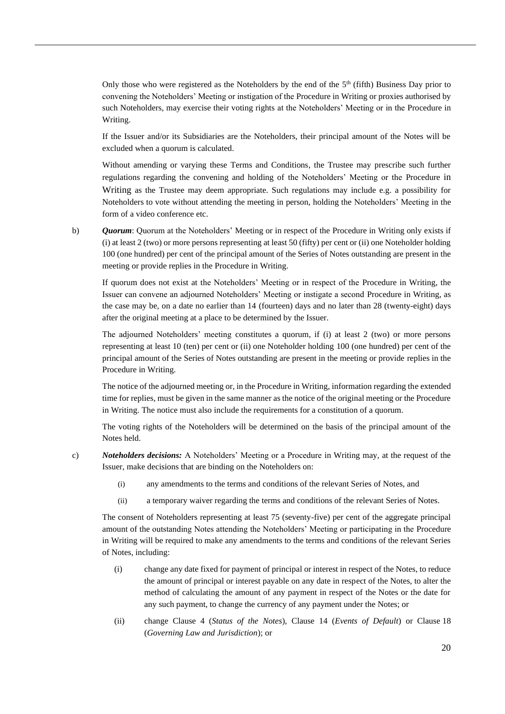Only those who were registered as the Noteholders by the end of the  $5<sup>th</sup>$  (fifth) Business Day prior to convening the Noteholders' Meeting or instigation of the Procedure in Writing or proxies authorised by such Noteholders, may exercise their voting rights at the Noteholders' Meeting or in the Procedure in Writing.

If the Issuer and/or its Subsidiaries are the Noteholders, their principal amount of the Notes will be excluded when a quorum is calculated.

Without amending or varying these Terms and Conditions, the Trustee may prescribe such further regulations regarding the convening and holding of the Noteholders' Meeting or the Procedure in Writing as the Trustee may deem appropriate. Such regulations may include e.g. a possibility for Noteholders to vote without attending the meeting in person, holding the Noteholders' Meeting in the form of a video conference etc.

b) *Quorum*: Quorum at the Noteholders' Meeting or in respect of the Procedure in Writing only exists if (i) at least 2 (two) or more persons representing at least 50 (fifty) per cent or (ii) one Noteholder holding 100 (one hundred) per cent of the principal amount of the Series of Notes outstanding are present in the meeting or provide replies in the Procedure in Writing.

If quorum does not exist at the Noteholders' Meeting or in respect of the Procedure in Writing, the Issuer can convene an adjourned Noteholders' Meeting or instigate a second Procedure in Writing, as the case may be, on a date no earlier than 14 (fourteen) days and no later than 28 (twenty-eight) days after the original meeting at a place to be determined by the Issuer.

The adjourned Noteholders' meeting constitutes a quorum, if (i) at least 2 (two) or more persons representing at least 10 (ten) per cent or (ii) one Noteholder holding 100 (one hundred) per cent of the principal amount of the Series of Notes outstanding are present in the meeting or provide replies in the Procedure in Writing.

The notice of the adjourned meeting or, in the Procedure in Writing, information regarding the extended time for replies, must be given in the same manner as the notice of the original meeting or the Procedure in Writing. The notice must also include the requirements for a constitution of a quorum.

The voting rights of the Noteholders will be determined on the basis of the principal amount of the Notes held.

- c) *Noteholders decisions:* A Noteholders' Meeting or a Procedure in Writing may, at the request of the Issuer, make decisions that are binding on the Noteholders on:
	- (i) any amendments to the terms and conditions of the relevant Series of Notes, and
	- (ii) a temporary waiver regarding the terms and conditions of the relevant Series of Notes.

The consent of Noteholders representing at least 75 (seventy-five) per cent of the aggregate principal amount of the outstanding Notes attending the Noteholders' Meeting or participating in the Procedure in Writing will be required to make any amendments to the terms and conditions of the relevant Series of Notes, including:

- (i) change any date fixed for payment of principal or interest in respect of the Notes, to reduce the amount of principal or interest payable on any date in respect of the Notes, to alter the method of calculating the amount of any payment in respect of the Notes or the date for any such payment, to change the currency of any payment under the Notes; or
- (ii) change Clause [4](#page-7-1) (*Status of the Notes*), Clause [14](#page-18-0) (*Events of Default*) or Clause [18](#page-24-0) (*Governing Law and Jurisdiction*); or

20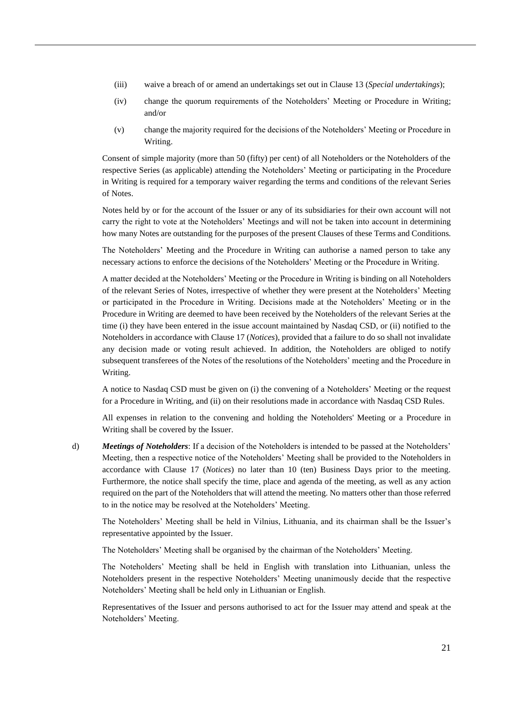- (iii) waive a breach of or amend an undertakings set out in Clause [13](#page-13-0) (*Special undertakings*);
- (iv) change the quorum requirements of the Noteholders' Meeting or Procedure in Writing; and/or
- (v) change the majority required for the decisions of the Noteholders' Meeting or Procedure in Writing.

Consent of simple majority (more than 50 (fifty) per cent) of all Noteholders or the Noteholders of the respective Series (as applicable) attending the Noteholders' Meeting or participating in the Procedure in Writing is required for a temporary waiver regarding the terms and conditions of the relevant Series of Notes.

Notes held by or for the account of the Issuer or any of its subsidiaries for their own account will not carry the right to vote at the Noteholders' Meetings and will not be taken into account in determining how many Notes are outstanding for the purposes of the present Clauses of these Terms and Conditions.

The Noteholders' Meeting and the Procedure in Writing can authorise a named person to take any necessary actions to enforce the decisions of the Noteholders' Meeting or the Procedure in Writing.

A matter decided at the Noteholders' Meeting or the Procedure in Writing is binding on all Noteholders of the relevant Series of Notes, irrespective of whether they were present at the Noteholders' Meeting or participated in the Procedure in Writing. Decisions made at the Noteholders' Meeting or in the Procedure in Writing are deemed to have been received by the Noteholders of the relevant Series at the time (i) they have been entered in the issue account maintained by Nasdaq CSD, or (ii) notified to the Noteholders in accordance with Clause [17](#page-23-0) (*Notices*), provided that a failure to do so shall not invalidate any decision made or voting result achieved. In addition, the Noteholders are obliged to notify subsequent transferees of the Notes of the resolutions of the Noteholders' meeting and the Procedure in Writing.

A notice to Nasdaq CSD must be given on (i) the convening of a Noteholders' Meeting or the request for a Procedure in Writing, and (ii) on their resolutions made in accordance with Nasdaq CSD Rules.

All expenses in relation to the convening and holding the Noteholders' Meeting or a Procedure in Writing shall be covered by the Issuer.

d) *Meetings of Noteholders*: If a decision of the Noteholders is intended to be passed at the Noteholders' Meeting, then a respective notice of the Noteholders' Meeting shall be provided to the Noteholders in accordance with Clause [17](#page-23-0) (*Notices*) no later than 10 (ten) Business Days prior to the meeting. Furthermore, the notice shall specify the time, place and agenda of the meeting, as well as any action required on the part of the Noteholders that will attend the meeting. No matters other than those referred to in the notice may be resolved at the Noteholders' Meeting.

The Noteholders' Meeting shall be held in Vilnius, Lithuania, and its chairman shall be the Issuer's representative appointed by the Issuer.

The Noteholders' Meeting shall be organised by the chairman of the Noteholders' Meeting.

The Noteholders' Meeting shall be held in English with translation into Lithuanian, unless the Noteholders present in the respective Noteholders' Meeting unanimously decide that the respective Noteholders' Meeting shall be held only in Lithuanian or English.

Representatives of the Issuer and persons authorised to act for the Issuer may attend and speak at the Noteholders' Meeting.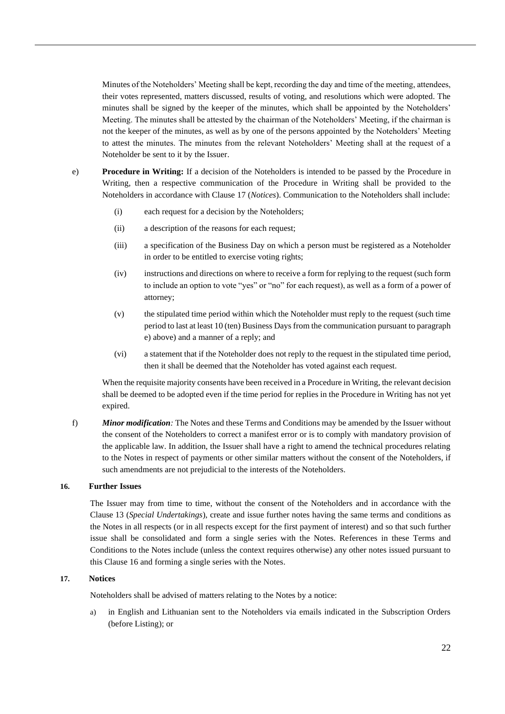<span id="page-23-1"></span>Minutes of the Noteholders' Meeting shall be kept, recording the day and time of the meeting, attendees, their votes represented, matters discussed, results of voting, and resolutions which were adopted. The minutes shall be signed by the keeper of the minutes, which shall be appointed by the Noteholders' Meeting. The minutes shall be attested by the chairman of the Noteholders' Meeting, if the chairman is not the keeper of the minutes, as well as by one of the persons appointed by the Noteholders' Meeting to attest the minutes. The minutes from the relevant Noteholders' Meeting shall at the request of a Noteholder be sent to it by the Issuer.

- e) **Procedure in Writing:** If a decision of the Noteholders is intended to be passed by the Procedure in Writing, then a respective communication of the Procedure in Writing shall be provided to the Noteholders in accordance with Claus[e 17](#page-23-0) (*Notices*). Communication to the Noteholders shall include:
	- (i) each request for a decision by the Noteholders;
	- (ii) a description of the reasons for each request;
	- (iii) a specification of the Business Day on which a person must be registered as a Noteholder in order to be entitled to exercise voting rights;
	- (iv) instructions and directions on where to receive a form for replying to the request (such form to include an option to vote "yes" or "no" for each request), as well as a form of a power of attorney;
	- (v) the stipulated time period within which the Noteholder must reply to the request (such time period to last at least 10 (ten) Business Days from the communication pursuant to paragraph [e\)](#page-23-1) above) and a manner of a reply; and
	- (vi) a statement that if the Noteholder does not reply to the request in the stipulated time period, then it shall be deemed that the Noteholder has voted against each request.

When the requisite majority consents have been received in a Procedure in Writing, the relevant decision shall be deemed to be adopted even if the time period for replies in the Procedure in Writing has not yet expired.

f) *Minor modification:* The Notes and these Terms and Conditions may be amended by the Issuer without the consent of the Noteholders to correct a manifest error or is to comply with mandatory provision of the applicable law. In addition, the Issuer shall have a right to amend the technical procedures relating to the Notes in respect of payments or other similar matters without the consent of the Noteholders, if such amendments are not prejudicial to the interests of the Noteholders.

#### <span id="page-23-2"></span>**16. Further Issues**

The Issuer may from time to time, without the consent of the Noteholders and in accordance with the Clause [13](#page-13-0) (*Special Undertakings*), create and issue further notes having the same terms and conditions as the Notes in all respects (or in all respects except for the first payment of interest) and so that such further issue shall be consolidated and form a single series with the Notes. References in these Terms and Conditions to the Notes include (unless the context requires otherwise) any other notes issued pursuant to this Clause [16](#page-23-2) and forming a single series with the Notes.

#### <span id="page-23-0"></span>**17. Notices**

Noteholders shall be advised of matters relating to the Notes by a notice:

a) in English and Lithuanian sent to the Noteholders via emails indicated in the Subscription Orders (before Listing); or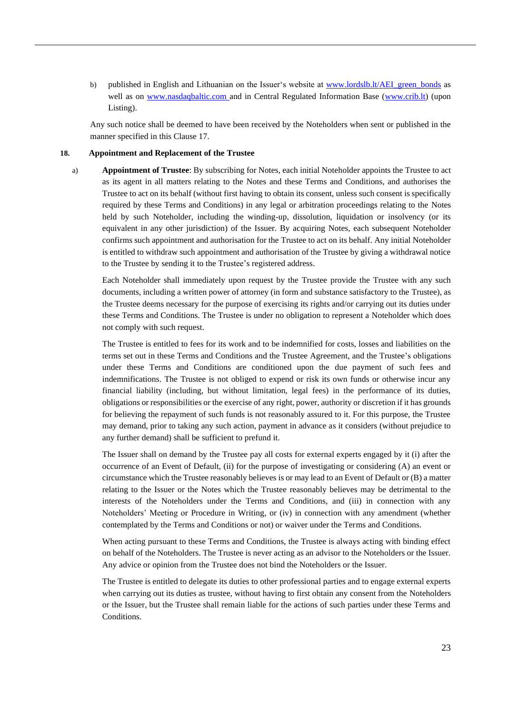b) published in English and Lithuanian on the Issuer's website at www.lordslb.lt/AEI green bonds as well as on [www.nasdaqbaltic.com](http://www.nasdaqbaltic.com/) and in Central Regulated Information Base [\(www.crib.lt\)](http://www.crib.lt/) (upon Listing).

Any such notice shall be deemed to have been received by the Noteholders when sent or published in the manner specified in this Clause [17.](#page-23-0)

## <span id="page-24-0"></span>**18. Appointment and Replacement of the Trustee**

a) **Appointment of Trustee**: By subscribing for Notes, each initial Noteholder appoints the Trustee to act as its agent in all matters relating to the Notes and these Terms and Conditions, and authorises the Trustee to act on its behalf (without first having to obtain its consent, unless such consent is specifically required by these Terms and Conditions) in any legal or arbitration proceedings relating to the Notes held by such Noteholder, including the winding-up, dissolution, liquidation or insolvency (or its equivalent in any other jurisdiction) of the Issuer. By acquiring Notes, each subsequent Noteholder confirms such appointment and authorisation for the Trustee to act on its behalf. Any initial Noteholder is entitled to withdraw such appointment and authorisation of the Trustee by giving a withdrawal notice to the Trustee by sending it to the Trustee's registered address.

Each Noteholder shall immediately upon request by the Trustee provide the Trustee with any such documents, including a written power of attorney (in form and substance satisfactory to the Trustee), as the Trustee deems necessary for the purpose of exercising its rights and/or carrying out its duties under these Terms and Conditions. The Trustee is under no obligation to represent a Noteholder which does not comply with such request.

The Trustee is entitled to fees for its work and to be indemnified for costs, losses and liabilities on the terms set out in these Terms and Conditions and the Trustee Agreement, and the Trustee's obligations under these Terms and Conditions are conditioned upon the due payment of such fees and indemnifications. The Trustee is not obliged to expend or risk its own funds or otherwise incur any financial liability (including, but without limitation, legal fees) in the performance of its duties, obligations or responsibilities or the exercise of any right, power, authority or discretion if it has grounds for believing the repayment of such funds is not reasonably assured to it. For this purpose, the Trustee may demand, prior to taking any such action, payment in advance as it considers (without prejudice to any further demand) shall be sufficient to prefund it.

The Issuer shall on demand by the Trustee pay all costs for external experts engaged by it (i) after the occurrence of an Event of Default, (ii) for the purpose of investigating or considering (A) an event or circumstance which the Trustee reasonably believes is or may lead to an Event of Default or (B) a matter relating to the Issuer or the Notes which the Trustee reasonably believes may be detrimental to the interests of the Noteholders under the Terms and Conditions, and (iii) in connection with any Noteholders' Meeting or Procedure in Writing, or (iv) in connection with any amendment (whether contemplated by the Terms and Conditions or not) or waiver under the Terms and Conditions.

When acting pursuant to these Terms and Conditions, the Trustee is always acting with binding effect on behalf of the Noteholders. The Trustee is never acting as an advisor to the Noteholders or the Issuer. Any advice or opinion from the Trustee does not bind the Noteholders or the Issuer.

The Trustee is entitled to delegate its duties to other professional parties and to engage external experts when carrying out its duties as trustee, without having to first obtain any consent from the Noteholders or the Issuer, but the Trustee shall remain liable for the actions of such parties under these Terms and **Conditions**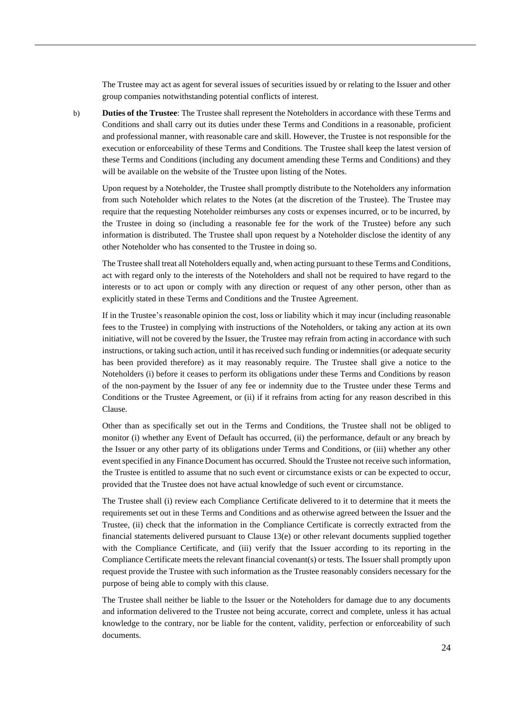The Trustee may act as agent for several issues of securities issued by or relating to the Issuer and other group companies notwithstanding potential conflicts of interest.

b) **Duties of the Trustee**: The Trustee shall represent the Noteholders in accordance with these Terms and Conditions and shall carry out its duties under these Terms and Conditions in a reasonable, proficient and professional manner, with reasonable care and skill. However, the Trustee is not responsible for the execution or enforceability of these Terms and Conditions. The Trustee shall keep the latest version of these Terms and Conditions (including any document amending these Terms and Conditions) and they will be available on the website of the Trustee upon listing of the Notes.

Upon request by a Noteholder, the Trustee shall promptly distribute to the Noteholders any information from such Noteholder which relates to the Notes (at the discretion of the Trustee). The Trustee may require that the requesting Noteholder reimburses any costs or expenses incurred, or to be incurred, by the Trustee in doing so (including a reasonable fee for the work of the Trustee) before any such information is distributed. The Trustee shall upon request by a Noteholder disclose the identity of any other Noteholder who has consented to the Trustee in doing so.

The Trustee shall treat all Noteholders equally and, when acting pursuant to these Terms and Conditions, act with regard only to the interests of the Noteholders and shall not be required to have regard to the interests or to act upon or comply with any direction or request of any other person, other than as explicitly stated in these Terms and Conditions and the Trustee Agreement.

If in the Trustee's reasonable opinion the cost, loss or liability which it may incur (including reasonable fees to the Trustee) in complying with instructions of the Noteholders, or taking any action at its own initiative, will not be covered by the Issuer, the Trustee may refrain from acting in accordance with such instructions, or taking such action, until it has received such funding or indemnities (or adequate security has been provided therefore) as it may reasonably require. The Trustee shall give a notice to the Noteholders (i) before it ceases to perform its obligations under these Terms and Conditions by reason of the non-payment by the Issuer of any fee or indemnity due to the Trustee under these Terms and Conditions or the Trustee Agreement, or (ii) if it refrains from acting for any reason described in this Clause.

Other than as specifically set out in the Terms and Conditions, the Trustee shall not be obliged to monitor (i) whether any Event of Default has occurred, (ii) the performance, default or any breach by the Issuer or any other party of its obligations under Terms and Conditions, or (iii) whether any other event specified in any Finance Document has occurred. Should the Trustee not receive such information, the Trustee is entitled to assume that no such event or circumstance exists or can be expected to occur, provided that the Trustee does not have actual knowledge of such event or circumstance.

The Trustee shall (i) review each Compliance Certificate delivered to it to determine that it meets the requirements set out in these Terms and Conditions and as otherwise agreed between the Issuer and the Trustee, (ii) check that the information in the Compliance Certificate is correctly extracted from the financial statements delivered pursuant to Clause [13](#page-13-0)[\(e\)](#page-15-0) or other relevant documents supplied together with the Compliance Certificate, and (iii) verify that the Issuer according to its reporting in the Compliance Certificate meets the relevant financial covenant(s) or tests. The Issuer shall promptly upon request provide the Trustee with such information as the Trustee reasonably considers necessary for the purpose of being able to comply with this clause.

The Trustee shall neither be liable to the Issuer or the Noteholders for damage due to any documents and information delivered to the Trustee not being accurate, correct and complete, unless it has actual knowledge to the contrary, nor be liable for the content, validity, perfection or enforceability of such documents.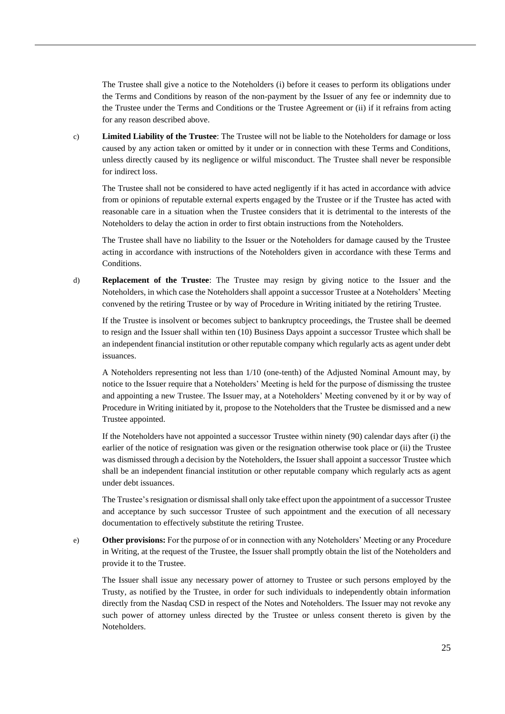The Trustee shall give a notice to the Noteholders (i) before it ceases to perform its obligations under the Terms and Conditions by reason of the non-payment by the Issuer of any fee or indemnity due to the Trustee under the Terms and Conditions or the Trustee Agreement or (ii) if it refrains from acting for any reason described above.

c) **Limited Liability of the Trustee**: The Trustee will not be liable to the Noteholders for damage or loss caused by any action taken or omitted by it under or in connection with these Terms and Conditions, unless directly caused by its negligence or wilful misconduct. The Trustee shall never be responsible for indirect loss.

The Trustee shall not be considered to have acted negligently if it has acted in accordance with advice from or opinions of reputable external experts engaged by the Trustee or if the Trustee has acted with reasonable care in a situation when the Trustee considers that it is detrimental to the interests of the Noteholders to delay the action in order to first obtain instructions from the Noteholders.

The Trustee shall have no liability to the Issuer or the Noteholders for damage caused by the Trustee acting in accordance with instructions of the Noteholders given in accordance with these Terms and Conditions.

d) **Replacement of the Trustee**: The Trustee may resign by giving notice to the Issuer and the Noteholders, in which case the Noteholders shall appoint a successor Trustee at a Noteholders' Meeting convened by the retiring Trustee or by way of Procedure in Writing initiated by the retiring Trustee.

If the Trustee is insolvent or becomes subject to bankruptcy proceedings, the Trustee shall be deemed to resign and the Issuer shall within ten (10) Business Days appoint a successor Trustee which shall be an independent financial institution or other reputable company which regularly acts as agent under debt issuances.

A Noteholders representing not less than 1/10 (one-tenth) of the Adjusted Nominal Amount may, by notice to the Issuer require that a Noteholders' Meeting is held for the purpose of dismissing the trustee and appointing a new Trustee. The Issuer may, at a Noteholders' Meeting convened by it or by way of Procedure in Writing initiated by it, propose to the Noteholders that the Trustee be dismissed and a new Trustee appointed.

If the Noteholders have not appointed a successor Trustee within ninety (90) calendar days after (i) the earlier of the notice of resignation was given or the resignation otherwise took place or (ii) the Trustee was dismissed through a decision by the Noteholders, the Issuer shall appoint a successor Trustee which shall be an independent financial institution or other reputable company which regularly acts as agent under debt issuances.

The Trustee's resignation or dismissal shall only take effect upon the appointment of a successor Trustee and acceptance by such successor Trustee of such appointment and the execution of all necessary documentation to effectively substitute the retiring Trustee.

e) **Other provisions:** For the purpose of or in connection with any Noteholders' Meeting or any Procedure in Writing, at the request of the Trustee, the Issuer shall promptly obtain the list of the Noteholders and provide it to the Trustee.

The Issuer shall issue any necessary power of attorney to Trustee or such persons employed by the Trusty, as notified by the Trustee, in order for such individuals to independently obtain information directly from the Nasdaq CSD in respect of the Notes and Noteholders. The Issuer may not revoke any such power of attorney unless directed by the Trustee or unless consent thereto is given by the Noteholders.